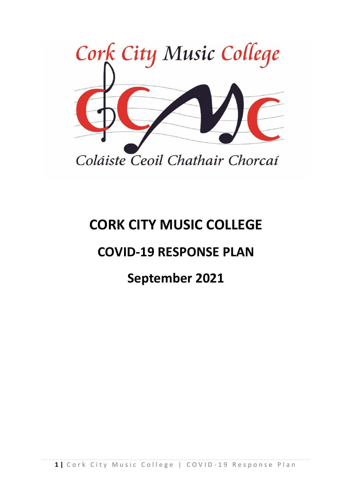

## **CORK CITY MUSIC COLLEGE**

## **COVID-19 RESPONSE PLAN**

## **September 2021**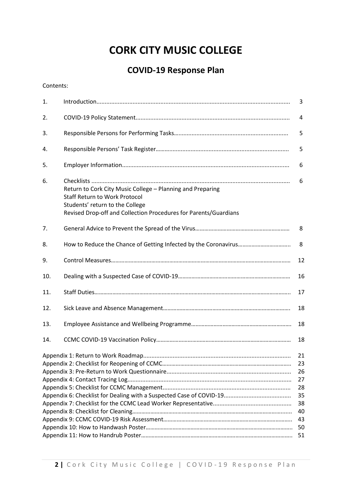## **CORK CITY MUSIC COLLEGE**

### **COVID-19 Response Plan**

Contents:

| 1.  |                                                                                                                                                                                                           | 3                                                        |  |  |
|-----|-----------------------------------------------------------------------------------------------------------------------------------------------------------------------------------------------------------|----------------------------------------------------------|--|--|
| 2.  |                                                                                                                                                                                                           | 4                                                        |  |  |
| 3.  |                                                                                                                                                                                                           | 5                                                        |  |  |
| 4.  |                                                                                                                                                                                                           | 5                                                        |  |  |
| 5.  |                                                                                                                                                                                                           | 6                                                        |  |  |
| 6.  | Return to Cork City Music College - Planning and Preparing<br><b>Staff Return to Work Protocol</b><br>Students' return to the College<br>Revised Drop-off and Collection Procedures for Parents/Guardians | 6                                                        |  |  |
| 7.  |                                                                                                                                                                                                           | 8                                                        |  |  |
| 8.  |                                                                                                                                                                                                           | 8                                                        |  |  |
| 9.  |                                                                                                                                                                                                           | 12                                                       |  |  |
| 10. |                                                                                                                                                                                                           | 16                                                       |  |  |
| 11. |                                                                                                                                                                                                           | 17                                                       |  |  |
| 12. |                                                                                                                                                                                                           | 18                                                       |  |  |
| 13. |                                                                                                                                                                                                           | 18                                                       |  |  |
| 14. |                                                                                                                                                                                                           | 18                                                       |  |  |
|     |                                                                                                                                                                                                           | 21<br>23<br>26<br>27<br>28<br>35<br>38<br>40<br>43<br>50 |  |  |
| 51  |                                                                                                                                                                                                           |                                                          |  |  |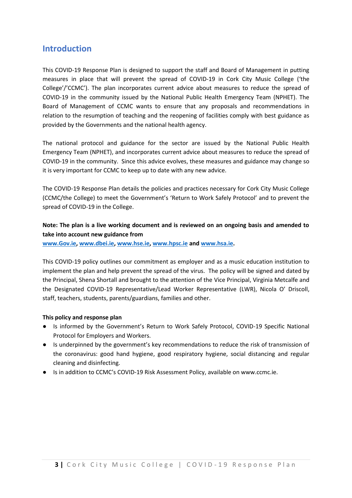#### **Introduction**

This COVID-19 Response Plan is designed to support the staff and Board of Management in putting measures in place that will prevent the spread of COVID-19 in Cork City Music College ('the College'/'CCMC'). The plan incorporates current advice about measures to reduce the spread of COVID-19 in the community issued by the National Public Health Emergency Team (NPHET). The Board of Management of CCMC wants to ensure that any proposals and recommendations in relation to the resumption of teaching and the reopening of facilities comply with best guidance as provided by the Governments and the national health agency.

The national protocol and guidance for the sector are issued by the National Public Health Emergency Team (NPHET), and incorporates current advice about measures to reduce the spread of COVID-19 in the community. Since this advice evolves, these measures and guidance may change so it is very important for CCMC to keep up to date with any new advice.

The COVID-19 Response Plan details the policies and practices necessary for Cork City Music College (CCMC/the College) to meet the Government's 'Return to Work Safely Protocol' and to prevent the spread of COVID-19 in the College.

#### **Note: The plan is a live working document and is reviewed on an ongoing basis and amended to take into account new guidance from**

**[www.Gov.ie,](http://www.gov.ie/) [www.dbei.ie,](http://www.dbei.ie/) [www.hse.ie,](http://www.hse.ie/) [www.hpsc.ie](http://www.hpsc.ie/) and [www.hsa.ie.](http://www.hsa.ie/)**

This COVID-19 policy outlines our commitment as employer and as a music education institution to implement the plan and help prevent the spread of the virus. The policy will be signed and dated by the Principal, Shena Shortall and brought to the attention of the Vice Principal, Virginia Metcalfe and the Designated COVID-19 Representative/Lead Worker Representative (LWR), Nicola O' Driscoll, staff, teachers, students, parents/guardians, families and other.

#### **This policy and response plan**

- Is informed by the Government's Return to Work Safely Protocol, COVID-19 Specific National Protocol for Employers and Workers.
- Is underpinned by the government's key recommendations to reduce the risk of transmission of the coronavirus: good hand hygiene, good respiratory hygiene, social distancing and regular cleaning and disinfecting.
- Is in addition to CCMC's COVID-19 Risk Assessment Policy, available on www.ccmc.ie.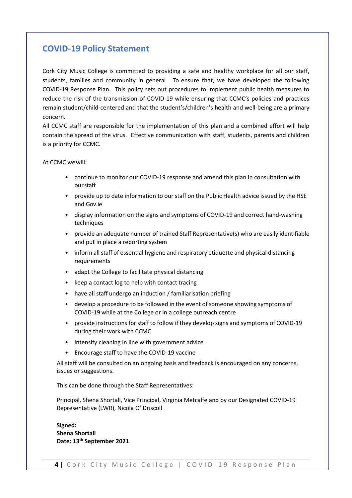#### **COVID-19 Policy Statement**

Cork City Music College is committed to providing a safe and healthy workplace for all our staff, students, families and community in general. To ensure that, we have developed the following COVID-19 Response Plan. This policy sets out procedures to implement public health measures to reduce the risk of the transmission of COVID-19 while ensuring that CCMC's policies and practices remain student/child-centered and that the student's/children's health and well-being are a primary concern.

All CCMC staff are responsible for the implementation of this plan and a combined effort will help contain the spread of the virus. Effective communication with staff, students, parents and children is a priority for CCMC.

At CCMC wewill:

- continue to monitor our COVID-19 response and amend this plan in consultation with ourstaff
- provide up to date information to our staff on the Public Health advice issued by the HSE and Gov.ie
- display information on the signs and symptoms of COVID-19 and correct hand-washing techniques
- provide an adequate number of trained Staff Representative(s) who are easily identifiable and put in place a reporting system
- inform all staff of essential hygiene and respiratory etiquette and physical distancing requirements
- adapt the College to facilitate physical distancing
- keep a contact log to help with contact tracing
- have all staff undergo an induction / familiarisation briefing
- develop a procedure to be followed in the event of someone showing symptoms of COVID-19 while at the College or in a college outreach centre
- provide instructions for staff to follow if they develop signs and symptoms of COVID-19 during their work with CCMC
- intensify cleaning in line with government advice
- Encourage staff to have the COVID-19 vaccine

All staff will be consulted on an ongoing basis and feedback is encouraged on any concerns, issues or suggestions.

This can be done through the Staff Representatives:

Principal, Shena Shortall, Vice Principal, Virginia Metcalfe and by our Designated COVID-19 Representative (LWR), Nicola O' Driscoll

**Signed: Shena Shortall Date: 13th September 2021**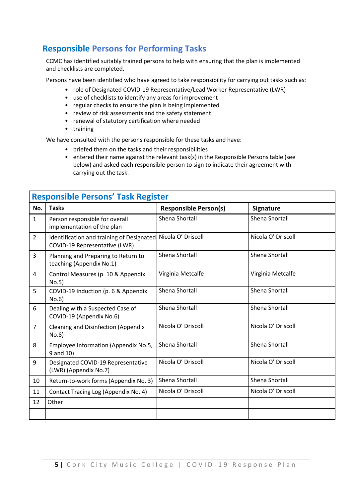#### **Responsible Persons for Performing Tasks**

CCMC has identified suitably trained persons to help with ensuring that the plan is implemented and checklists are completed.

Persons have been identified who have agreed to take responsibility for carrying out tasks such as:

- role of Designated COVID-19 Representative/Lead Worker Representative (LWR)
- use of checklists to identify any areas for improvement
- regular checks to ensure the plan is being implemented
- review of risk assessments and the safety statement
- renewal of statutory certification where needed
- training

We have consulted with the persons responsible for these tasks and have:

- briefed them on the tasks and their responsibilities
- entered their name against the relevant task(s) in the Responsible Persons table (see below) and asked each responsible person to sign to indicate their agreement with carrying out the task.

|                | <b>Responsible Persons' Task Register</b>                                  |                              |                    |  |  |  |  |
|----------------|----------------------------------------------------------------------------|------------------------------|--------------------|--|--|--|--|
| No.            | <b>Tasks</b>                                                               | <b>Responsible Person(s)</b> | <b>Signature</b>   |  |  |  |  |
| $\mathbf{1}$   | Person responsible for overall<br>implementation of the plan               | Shena Shortall               | Shena Shortall     |  |  |  |  |
| $\overline{2}$ | Identification and training of Designated<br>COVID-19 Representative (LWR) | Nicola O' Driscoll           | Nicola O' Driscoll |  |  |  |  |
| $\overline{3}$ | Planning and Preparing to Return to<br>teaching (Appendix No.1)            | Shena Shortall               | Shena Shortall     |  |  |  |  |
| 4              | Control Measures (p. 10 & Appendix<br>No.5)                                | Virginia Metcalfe            | Virginia Metcalfe  |  |  |  |  |
| 5              | COVID-19 Induction (p. 6 & Appendix<br>No.6)                               | Shena Shortall               | Shena Shortall     |  |  |  |  |
| 6              | Dealing with a Suspected Case of<br>COVID-19 (Appendix No.6)               | Shena Shortall               | Shena Shortall     |  |  |  |  |
| $\overline{7}$ | <b>Cleaning and Disinfection (Appendix</b><br>No.8)                        | Nicola O' Driscoll           | Nicola O' Driscoll |  |  |  |  |
| 8              | Employee Information (Appendix No.5,<br>9 and 10)                          | Shena Shortall               | Shena Shortall     |  |  |  |  |
| 9              | Designated COVID-19 Representative<br>(LWR) (Appendix No.7)                | Nicola O' Driscoll           | Nicola O' Driscoll |  |  |  |  |
| 10             | Return-to-work forms (Appendix No. 3)                                      | Shena Shortall               | Shena Shortall     |  |  |  |  |
| 11             | Contact Tracing Log (Appendix No. 4)                                       | Nicola O' Driscoll           | Nicola O' Driscoll |  |  |  |  |
| 12             | Other                                                                      |                              |                    |  |  |  |  |
|                |                                                                            |                              |                    |  |  |  |  |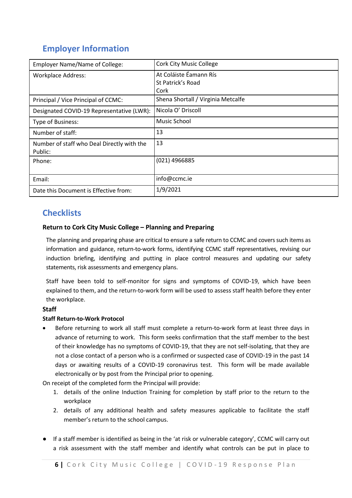### **Employer Information**

| <b>Employer Name/Name of College:</b>      | <b>Cork City Music College</b>     |
|--------------------------------------------|------------------------------------|
| <b>Workplace Address:</b>                  | At Coláiste Éamann Rís             |
|                                            | St Patrick's Road                  |
|                                            | Cork                               |
| Principal / Vice Principal of CCMC:        | Shena Shortall / Virginia Metcalfe |
| Designated COVID-19 Representative (LWR):  | Nicola O' Driscoll                 |
| Type of Business:                          | Music School                       |
| Number of staff:                           | 13                                 |
| Number of staff who Deal Directly with the | 13                                 |
| Public:                                    |                                    |
| Phone:                                     | (021) 4966885                      |
|                                            |                                    |
| Email:                                     | info@ccmc.ie                       |
| Date this Document is Effective from:      | 1/9/2021                           |

#### **Checklists**

#### **Return to Cork City Music College – Planning and Preparing**

The planning and preparing phase are critical to ensure a safe return to CCMC and covers such items as information and guidance, return-to-work forms, identifying CCMC staff representatives, revising our induction briefing, identifying and putting in place control measures and updating our safety statements, risk assessments and emergency plans.

Staff have been told to self-monitor for signs and symptoms of COVID-19, which have been explained to them, and the return-to-work form will be used to assess staff health before they enter the workplace.

#### **Staff**

#### **Staff Return-to-Work Protocol**

• Before returning to work all staff must complete a return-to-work form at least three days in advance of returning to work. This form seeks confirmation that the staff member to the best of their knowledge has no symptoms of COVID-19, that they are not self-isolating, that they are not a close contact of a person who is a confirmed or suspected case of COVID-19 in the past 14 days or awaiting results of a COVID-19 coronavirus test. This form will be made available electronically or by post from the Principal prior to opening.

On receipt of the completed form the Principal will provide:

- 1. details of the online Induction Training for completion by staff prior to the return to the workplace
- 2. details of any additional health and safety measures applicable to facilitate the staff member's return to the school campus.
- If a staff member is identified as being in the 'at risk or vulnerable category', CCMC will carry out a risk assessment with the staff member and identify what controls can be put in place to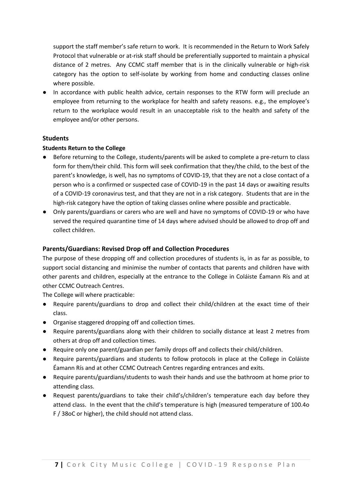support the staff member's safe return to work. It is recommended in the Return to Work Safely Protocol that vulnerable or at-risk staff should be preferentially supported to maintain a physical distance of 2 metres. Any CCMC staff member that is in the clinically vulnerable or high-risk category has the option to self-isolate by working from home and conducting classes online where possible.

● In accordance with public health advice, certain responses to the RTW form will preclude an employee from returning to the workplace for health and safety reasons. e.g., the employee's return to the workplace would result in an unacceptable risk to the health and safety of the employee and/or other persons.

#### **Students**

#### **Students Return to the College**

- Before returning to the College, students/parents will be asked to complete a pre-return to class form for them/their child. This form will seek confirmation that they/the child, to the best of the parent's knowledge, is well, has no symptoms of COVID-19, that they are not a close contact of a person who is a confirmed or suspected case of COVID-19 in the past 14 days or awaiting results of a COVID-19 coronavirus test, and that they are not in a risk category. Students that are in the high-risk category have the option of taking classes online where possible and practicable.
- Only parents/guardians or carers who are well and have no symptoms of COVID-19 or who have served the required quarantine time of 14 days where advised should be allowed to drop off and collect children.

#### **Parents/Guardians: Revised Drop off and Collection Procedures**

The purpose of these dropping off and collection procedures of students is, in as far as possible, to support social distancing and minimise the number of contacts that parents and children have with other parents and children, especially at the entrance to the College in Coláiste Éamann Rís and at other CCMC Outreach Centres.

The College will where practicable:

- Require parents/guardians to drop and collect their child/children at the exact time of their class.
- Organise staggered dropping off and collection times.
- Require parents/guardians along with their children to socially distance at least 2 metres from others at drop off and collection times.
- Require only one parent/guardian per family drops off and collects their child/children.
- Require parents/guardians and students to follow protocols in place at the College in Coláiste Éamann Rís and at other CCMC Outreach Centres regarding entrances and exits.
- Require parents/guardians/students to wash their hands and use the bathroom at home prior to attending class.
- Request parents/guardians to take their child's/children's temperature each day before they attend class. In the event that the child's temperature is high (measured temperature of 100.4o F / 38oC or higher), the child should not attend class.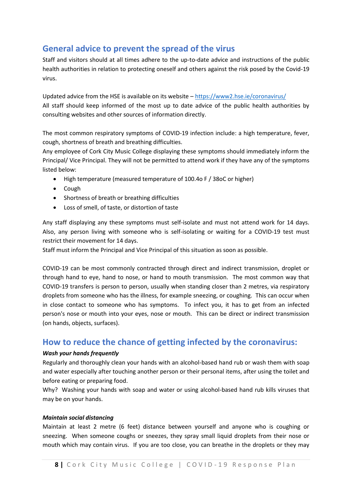#### **General advice to prevent the spread of the virus**

Staff and visitors should at all times adhere to the up-to-date advice and instructions of the public health authorities in relation to protecting oneself and others against the risk posed by the Covid-19 virus.

Updated advice from the HSE is available on its website – <https://www2.hse.ie/coronavirus/> All staff should keep informed of the most up to date advice of the public health authorities by consulting websites and other sources of information directly.

The most common respiratory symptoms of COVID-19 infection include: a high temperature, fever, cough, shortness of breath and breathing difficulties.

Any employee of Cork City Music College displaying these symptoms should immediately inform the Principal/ Vice Principal. They will not be permitted to attend work if they have any of the symptoms listed below:

- High temperature (measured temperature of 100.4o F / 38oC or higher)
- Cough
- Shortness of breath or breathing difficulties
- Loss of smell, of taste, or distortion of taste

Any staff displaying any these symptoms must self-isolate and must not attend work for 14 days. Also, any person living with someone who is self-isolating or waiting for a COVID-19 test must restrict their movement for 14 days.

Staff must inform the Principal and Vice Principal of this situation as soon as possible.

COVID-19 can be most commonly contracted through direct and indirect transmission, droplet or through hand to eye, hand to nose, or hand to mouth transmission. The most common way that COVID-19 transfers is person to person, usually when standing closer than 2 metres, via respiratory droplets from someone who has the illness, for example sneezing, or coughing. This can occur when in close contact to someone who has symptoms. To infect you, it has to get from an infected person's nose or mouth into your eyes, nose or mouth. This can be direct or indirect transmission (on hands, objects, surfaces).

#### **How to reduce the chance of getting infected by the coronavirus:**

#### *Wash your hands frequently*

Regularly and thoroughly clean your hands with an alcohol-based hand rub or wash them with soap and water especially after touching another person or their personal items, after using the toilet and before eating or preparing food.

Why? Washing your hands with soap and water or using alcohol-based hand rub kills viruses that may be on your hands.

#### *Maintain social distancing*

Maintain at least 2 metre (6 feet) distance between yourself and anyone who is coughing or sneezing. When someone coughs or sneezes, they spray small liquid droplets from their nose or mouth which may contain virus. If you are too close, you can breathe in the droplets or they may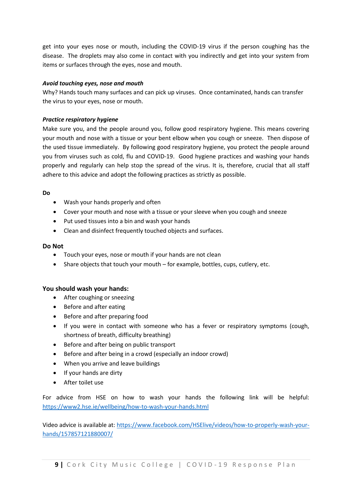get into your eyes nose or mouth, including the COVID-19 virus if the person coughing has the disease. The droplets may also come in contact with you indirectly and get into your system from items or surfaces through the eyes, nose and mouth.

#### *Avoid touching eyes, nose and mouth*

Why? Hands touch many surfaces and can pick up viruses. Once contaminated, hands can transfer the virus to your eyes, nose or mouth.

#### *Practice respiratory hygiene*

Make sure you, and the people around you, follow good respiratory hygiene. This means covering your mouth and nose with a tissue or your bent elbow when you cough or sneeze. Then dispose of the used tissue immediately. By following good respiratory hygiene, you protect the people around you from viruses such as cold, flu and COVID-19. Good hygiene practices and washing your hands properly and regularly can help stop the spread of the virus. It is, therefore, crucial that all staff adhere to this advice and adopt the following practices as strictly as possible.

#### **Do**

- Wash your hands properly and often
- Cover your mouth and nose with a tissue or your sleeve when you cough and sneeze
- Put used tissues into a bin and wash your hands
- Clean and disinfect frequently touched objects and surfaces.

#### **Do Not**

- Touch your eyes, nose or mouth if your hands are not clean
- Share objects that touch your mouth for example, bottles, cups, cutlery, etc.

#### **You should wash your hands:**

- After coughing or sneezing
- Before and after eating
- Before and after preparing food
- If you were in contact with someone who has a fever or respiratory symptoms (cough, shortness of breath, difficulty breathing)
- Before and after being on public transport
- Before and after being in a crowd (especially an indoor crowd)
- When you arrive and leave buildings
- If your hands are dirty
- After toilet use

For advice from HSE on how to wash your hands the following link will be helpful: <https://www2.hse.ie/wellbeing/how-to-wash-your-hands.html>

Video advice is available at: [https://www.facebook.com/HSElive/videos/how-to-properly-wash-your](https://www.facebook.com/HSElive/videos/how-to-properly-wash-your-hands/157857121880007/)[hands/157857121880007/](https://www.facebook.com/HSElive/videos/how-to-properly-wash-your-hands/157857121880007/)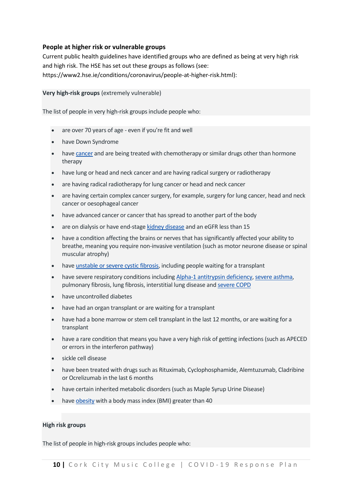#### **People at higher risk or vulnerable groups**

Current public health guidelines have identified groups who are defined as being at very high risk and high risk. The HSE has set out these groups as follows (see: https://www2.hse.ie/conditions/coronavirus/people-at-higher-risk.html):

#### **Very high-risk groups** (extremely vulnerable)

The list of people in very high-risk groups include people who:

- are over 70 years of age even if you're fit and well
- have Down Syndrome
- have [cancer](https://www2.hse.ie/conditions/covid19/people-at-higher-risk/cancer-patients/) and are being treated with chemotherapy or similar drugs other than hormone therapy
- have lung or head and neck cancer and are having radical surgery or radiotherapy
- are having radical radiotherapy for lung cancer or head and neck cancer
- are having certain complex cancer surgery, for example, surgery for lung cancer, head and neck cancer or oesophageal cancer
- have advanced cancer or cancer that has spread to another part of the body
- are on dialysis or have end-stage [kidney disease](https://www2.hse.ie/conditions/covid19/people-at-higher-risk/kidney-disease/) and an eGFR less than 15
- have a condition affecting the brains or nerves that has significantly affected your ability to breathe, meaning you require non-invasive ventilation (such as motor neurone disease or spinal muscular atrophy)
- have [unstable or severe cystic fibrosis,](https://www2.hse.ie/conditions/covid19/people-at-higher-risk/cystic-fibrosis/) including people waiting for a transplant
- have severe respiratory conditions including [Alpha-1 antitrypsin deficiency,](https://www.alpha1.ie/news-events/latest-news/367-coronavirus-update) [severe asthma,](https://www2.hse.ie/conditions/covid19/people-at-higher-risk/asthma/) pulmonary fibrosis, lung fibrosis, interstitial lung disease and [severe COPD](https://www2.hse.ie/conditions/covid19/people-at-higher-risk/copd/)
- have uncontrolled diabetes
- have had an organ transplant or are waiting for a transplant
- have had a bone marrow or stem cell transplant in the last 12 months, or are waiting for a transplant
- have a rare condition that means you have a very high risk of getting infections (such as APECED or errors in the interferon pathway)
- sickle cell disease
- have been treated with drugs such as Rituximab, Cyclophosphamide, Alemtuzumab, Cladribine or Ocrelizumab in the last 6 months
- have certain inherited metabolic disorders (such as Maple Syrup Urine Disease)
- have [obesity](https://www2.hse.ie/conditions/covid19/people-at-higher-risk/obesity/) with a body mass index (BMI) greater than 40

#### **High risk groups**

The list of people in high-risk groups includes people who: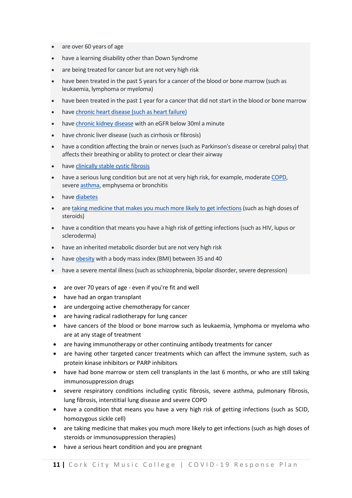- are over 60 years of age
- have a learning disability other than Down Syndrome
- are being treated for cancer but are not very high risk
- have been treated in the past 5 years for a cancer of the blood or bone marrow (such as leukaemia, lymphoma or myeloma)
- have been treated in the past 1 year for a cancer that did not start in the blood or bone marrow
- have [chronic heart disease \(such as heart failure\)](https://www2.hse.ie/conditions/covid19/people-at-higher-risk/heart-conditions/)
- have [chronic kidney disease](https://www2.hse.ie/conditions/covid19/people-at-higher-risk/kidney-disease/) with an eGFR below 30ml a minute
- have chronic liver disease (such as cirrhosis or fibrosis)
- have a condition affecting the brain or nerves (such as Parkinson's disease or cerebral palsy) that affects their breathing or ability to protect or clear their airway
- have [clinically stable cystic fibrosis](https://www2.hse.ie/conditions/covid19/people-at-higher-risk/cystic-fibrosis/)
- have a serious lung condition but are not at very high risk, for example, moderate [COPD,](https://www2.hse.ie/conditions/covid19/people-at-higher-risk/copd/) severe [asthma,](https://www2.hse.ie/conditions/covid19/people-at-higher-risk/asthma/) emphysema or bronchitis
- have [diabetes](https://www2.hse.ie/conditions/covid19/people-at-higher-risk/diabetes/)
- are taking medicine that makes you much more likely to get infections (such as high doses of steroids)
- have a condition that means you have a high risk of getting infections (such as HIV, lupus or scleroderma)
- have an inherited metabolic disorder but are not very high risk
- have [obesity](https://www2.hse.ie/conditions/covid19/people-at-higher-risk/obesity/) with a body mass index (BMI) between 35 and 40
- have a severe mental illness (such as schizophrenia, bipolar disorder, severe depression)
- are over 70 years of age even if you're fit and well
- have had an organ transplant
- are undergoing active chemotherapy for cancer
- are having radical radiotherapy for lung cancer
- have cancers of the blood or bone marrow such as leukaemia, lymphoma or myeloma who are at any stage of treatment
- are having immunotherapy or other continuing antibody treatments for cancer
- are having other targeted cancer treatments which can affect the immune system, such as protein kinase inhibitors or PARP inhibitors
- have had bone marrow or stem cell transplants in the last 6 months, or who are still taking immunosuppression drugs
- severe respiratory conditions including cystic fibrosis, severe asthma, pulmonary fibrosis, lung fibrosis, interstitial lung disease and severe COPD
- have a condition that means you have a very high risk of getting infections (such as SCID, homozygous sickle cell)
- are taking medicine that makes you much more likely to get infections (such as high doses of steroids or immunosuppression therapies)
- have a serious heart condition and you are pregnant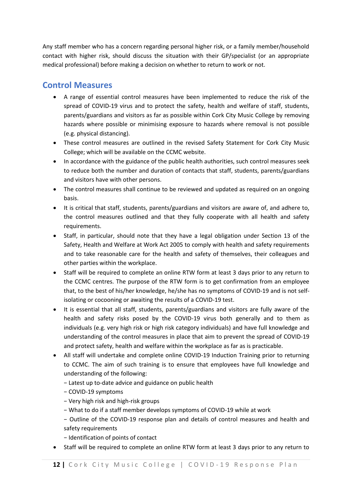Any staff member who has a concern regarding personal higher risk, or a family member/household contact with higher risk, should discuss the situation with their GP/specialist (or an appropriate medical professional) before making a decision on whether to return to work or not.

#### **Control Measures**

- A range of essential control measures have been implemented to reduce the risk of the spread of COVID-19 virus and to protect the safety, health and welfare of staff, students, parents/guardians and visitors as far as possible within Cork City Music College by removing hazards where possible or minimising exposure to hazards where removal is not possible (e.g. physical distancing).
- These control measures are outlined in the revised Safety Statement for Cork City Music College; which will be available on the CCMC website.
- In accordance with the guidance of the public health authorities, such control measures seek to reduce both the number and duration of contacts that staff, students, parents/guardians and visitors have with other persons.
- The control measures shall continue to be reviewed and updated as required on an ongoing basis.
- It is critical that staff, students, parents/guardians and visitors are aware of, and adhere to, the control measures outlined and that they fully cooperate with all health and safety requirements.
- Staff, in particular, should note that they have a legal obligation under Section 13 of the Safety, Health and Welfare at Work Act 2005 to comply with health and safety requirements and to take reasonable care for the health and safety of themselves, their colleagues and other parties within the workplace.
- Staff will be required to complete an online RTW form at least 3 days prior to any return to the CCMC centres. The purpose of the RTW form is to get confirmation from an employee that, to the best of his/her knowledge, he/she has no symptoms of COVID-19 and is not selfisolating or cocooning or awaiting the results of a COVID-19 test.
- It is essential that all staff, students, parents/guardians and visitors are fully aware of the health and safety risks posed by the COVID-19 virus both generally and to them as individuals (e.g. very high risk or high risk category individuals) and have full knowledge and understanding of the control measures in place that aim to prevent the spread of COVID-19 and protect safety, health and welfare within the workplace as far as is practicable.
- All staff will undertake and complete online COVID-19 Induction Training prior to returning to CCMC. The aim of such training is to ensure that employees have full knowledge and understanding of the following:
	- − Latest up to-date advice and guidance on public health
	- − COVID-19 symptoms
	- − Very high risk and high-risk groups
	- − What to do if a staff member develops symptoms of COVID-19 while at work
	- − Outline of the COVID-19 response plan and details of control measures and health and safety requirements
	- − Identification of points of contact
- Staff will be required to complete an online RTW form at least 3 days prior to any return to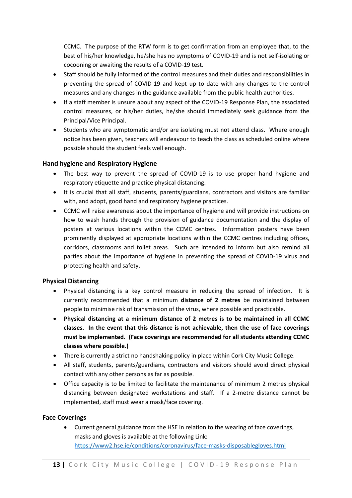CCMC. The purpose of the RTW form is to get confirmation from an employee that, to the best of his/her knowledge, he/she has no symptoms of COVID-19 and is not self-isolating or cocooning or awaiting the results of a COVID-19 test.

- Staff should be fully informed of the control measures and their duties and responsibilities in preventing the spread of COVID-19 and kept up to date with any changes to the control measures and any changes in the guidance available from the public health authorities.
- If a staff member is unsure about any aspect of the COVID-19 Response Plan, the associated control measures, or his/her duties, he/she should immediately seek guidance from the Principal/Vice Principal.
- Students who are symptomatic and/or are isolating must not attend class. Where enough notice has been given, teachers will endeavour to teach the class as scheduled online where possible should the student feels well enough.

#### **Hand hygiene and Respiratory Hygiene**

- The best way to prevent the spread of COVID-19 is to use proper hand hygiene and respiratory etiquette and practice physical distancing.
- It is crucial that all staff, students, parents/guardians, contractors and visitors are familiar with, and adopt, good hand and respiratory hygiene practices.
- CCMC will raise awareness about the importance of hygiene and will provide instructions on how to wash hands through the provision of guidance documentation and the display of posters at various locations within the CCMC centres. Information posters have been prominently displayed at appropriate locations within the CCMC centres including offices, corridors, classrooms and toilet areas. Such are intended to inform but also remind all parties about the importance of hygiene in preventing the spread of COVID-19 virus and protecting health and safety.

#### **Physical Distancing**

- Physical distancing is a key control measure in reducing the spread of infection. It is currently recommended that a minimum **distance of 2 metres** be maintained between people to minimise risk of transmission of the virus, where possible and practicable.
- **Physical distancing at a minimum distance of 2 metres is to be maintained in all CCMC classes. In the event that this distance is not achievable, then the use of face coverings must be implemented. (Face coverings are recommended for all students attending CCMC classes where possible.)**
- There is currently a strict no handshaking policy in place within Cork City Music College.
- All staff, students, parents/guardians, contractors and visitors should avoid direct physical contact with any other persons as far as possible.
- Office capacity is to be limited to facilitate the maintenance of minimum 2 metres physical distancing between designated workstations and staff. If a 2-metre distance cannot be implemented, staff must wear a mask/face covering.

#### **Face Coverings**

• Current general guidance from the HSE in relation to the wearing of face coverings, masks and gloves is available at the following Link: <https://www2.hse.ie/conditions/coronavirus/face-masks-disposablegloves.html>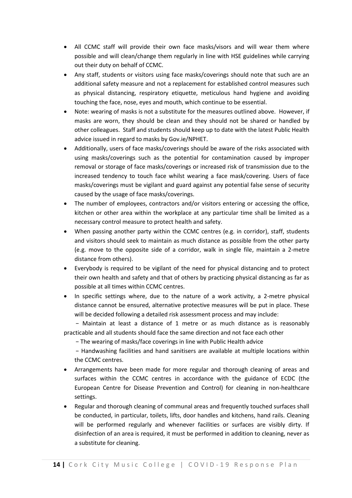- All CCMC staff will provide their own face masks/visors and will wear them where possible and will clean/change them regularly in line with HSE guidelines while carrying out their duty on behalf of CCMC.
- Any staff, students or visitors using face masks/coverings should note that such are an additional safety measure and not a replacement for established control measures such as physical distancing, respiratory etiquette, meticulous hand hygiene and avoiding touching the face, nose, eyes and mouth, which continue to be essential.
- Note: wearing of masks is not a substitute for the measures outlined above. However, if masks are worn, they should be clean and they should not be shared or handled by other colleagues. Staff and students should keep up to date with the latest Public Health advice issued in regard to masks by Gov.ie/NPHET.
- Additionally, users of face masks/coverings should be aware of the risks associated with using masks/coverings such as the potential for contamination caused by improper removal or storage of face masks/coverings or increased risk of transmission due to the increased tendency to touch face whilst wearing a face mask/covering. Users of face masks/coverings must be vigilant and guard against any potential false sense of security caused by the usage of face masks/coverings.
- The number of employees, contractors and/or visitors entering or accessing the office, kitchen or other area within the workplace at any particular time shall be limited as a necessary control measure to protect health and safety.
- When passing another party within the CCMC centres (e.g. in corridor), staff, students and visitors should seek to maintain as much distance as possible from the other party (e.g. move to the opposite side of a corridor, walk in single file, maintain a 2-metre distance from others).
- Everybody is required to be vigilant of the need for physical distancing and to protect their own health and safety and that of others by practicing physical distancing as far as possible at all times within CCMC centres.
- In specific settings where, due to the nature of a work activity, a 2-metre physical distance cannot be ensured, alternative protective measures will be put in place. These will be decided following a detailed risk assessment process and may include:

− Maintain at least a distance of 1 metre or as much distance as is reasonably practicable and all students should face the same direction and not face each other

− The wearing of masks/face coverings in line with Public Health advice

− Handwashing facilities and hand sanitisers are available at multiple locations within the CCMC centres.

- Arrangements have been made for more regular and thorough cleaning of areas and surfaces within the CCMC centres in accordance with the guidance of ECDC (the European Centre for Disease Prevention and Control) for cleaning in non-healthcare settings.
- Regular and thorough cleaning of communal areas and frequently touched surfaces shall be conducted, in particular, toilets, lifts, door handles and kitchens, hand rails. Cleaning will be performed regularly and whenever facilities or surfaces are visibly dirty. If disinfection of an area is required, it must be performed in addition to cleaning, never as a substitute for cleaning.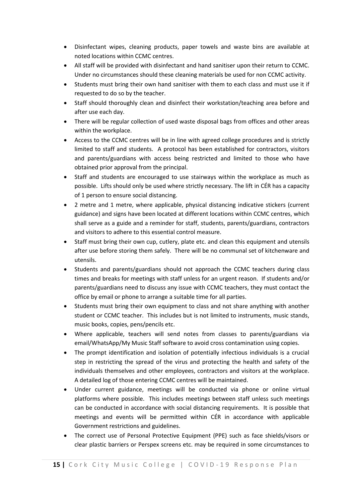- Disinfectant wipes, cleaning products, paper towels and waste bins are available at noted locations within CCMC centres.
- All staff will be provided with disinfectant and hand sanitiser upon their return to CCMC. Under no circumstances should these cleaning materials be used for non CCMC activity.
- Students must bring their own hand sanitiser with them to each class and must use it if requested to do so by the teacher.
- Staff should thoroughly clean and disinfect their workstation/teaching area before and after use each day.
- There will be regular collection of used waste disposal bags from offices and other areas within the workplace.
- Access to the CCMC centres will be in line with agreed college procedures and is strictly limited to staff and students. A protocol has been established for contractors, visitors and parents/guardians with access being restricted and limited to those who have obtained prior approval from the principal.
- Staff and students are encouraged to use stairways within the workplace as much as possible. Lifts should only be used where strictly necessary. The lift in CÉR has a capacity of 1 person to ensure social distancing.
- 2 metre and 1 metre, where applicable, physical distancing indicative stickers (current guidance) and signs have been located at different locations within CCMC centres, which shall serve as a guide and a reminder for staff, students, parents/guardians, contractors and visitors to adhere to this essential control measure.
- Staff must bring their own cup, cutlery, plate etc. and clean this equipment and utensils after use before storing them safely. There will be no communal set of kitchenware and utensils.
- Students and parents/guardians should not approach the CCMC teachers during class times and breaks for meetings with staff unless for an urgent reason. If students and/or parents/guardians need to discuss any issue with CCMC teachers, they must contact the office by email or phone to arrange a suitable time for all parties.
- Students must bring their own equipment to class and not share anything with another student or CCMC teacher. This includes but is not limited to instruments, music stands, music books, copies, pens/pencils etc.
- Where applicable, teachers will send notes from classes to parents/guardians via email/WhatsApp/My Music Staff software to avoid cross contamination using copies.
- The prompt identification and isolation of potentially infectious individuals is a crucial step in restricting the spread of the virus and protecting the health and safety of the individuals themselves and other employees, contractors and visitors at the workplace. A detailed log of those entering CCMC centres will be maintained.
- Under current guidance, meetings will be conducted via phone or online virtual platforms where possible. This includes meetings between staff unless such meetings can be conducted in accordance with social distancing requirements. It is possible that meetings and events will be permitted within CÉR in accordance with applicable Government restrictions and guidelines.
- The correct use of Personal Protective Equipment (PPE) such as face shields/visors or clear plastic barriers or Perspex screens etc. may be required in some circumstances to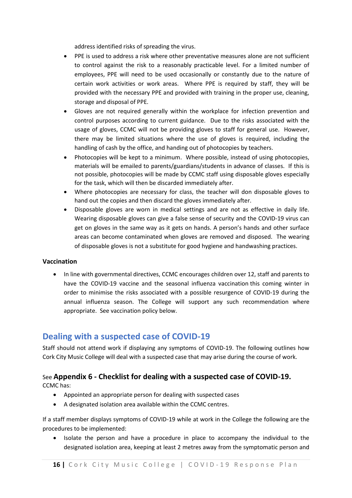address identified risks of spreading the virus.

- PPE is used to address a risk where other preventative measures alone are not sufficient to control against the risk to a reasonably practicable level. For a limited number of employees, PPE will need to be used occasionally or constantly due to the nature of certain work activities or work areas. Where PPE is required by staff, they will be provided with the necessary PPE and provided with training in the proper use, cleaning, storage and disposal of PPE.
- Gloves are not required generally within the workplace for infection prevention and control purposes according to current guidance. Due to the risks associated with the usage of gloves, CCMC will not be providing gloves to staff for general use. However, there may be limited situations where the use of gloves is required, including the handling of cash by the office, and handing out of photocopies by teachers.
- Photocopies will be kept to a minimum. Where possible, instead of using photocopies, materials will be emailed to parents/guardians/students in advance of classes. If this is not possible, photocopies will be made by CCMC staff using disposable gloves especially for the task, which will then be discarded immediately after.
- Where photocopies are necessary for class, the teacher will don disposable gloves to hand out the copies and then discard the gloves immediately after.
- Disposable gloves are worn in medical settings and are not as effective in daily life. Wearing disposable gloves can give a false sense of security and the COVID-19 virus can get on gloves in the same way as it gets on hands. A person's hands and other surface areas can become contaminated when gloves are removed and disposed. The wearing of disposable gloves is not a substitute for good hygiene and handwashing practices.

#### **Vaccination**

• In line with governmental directives, CCMC encourages children over 12, staff and parents to have the COVID-19 vaccine and the seasonal influenza vaccination this coming winter in order to minimise the risks associated with a possible resurgence of COVID-19 during the annual influenza season. The College will support any such recommendation where appropriate. See vaccination policy below.

#### **Dealing with a suspected case of COVID-19**

Staff should not attend work if displaying any symptoms of COVID-19. The following outlines how Cork City Music College will deal with a suspected case that may arise during the course of work.

#### See **Appendix 6 - Checklist for dealing with a suspected case of COVID-19.**

CCMC has:

- Appointed an appropriate person for dealing with suspected cases
- A designated isolation area available within the CCMC centres.

If a staff member displays symptoms of COVID-19 while at work in the College the following are the procedures to be implemented:

• Isolate the person and have a procedure in place to accompany the individual to the designated isolation area, keeping at least 2 metres away from the symptomatic person and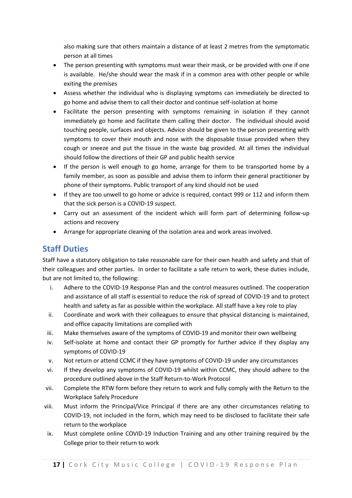also making sure that others maintain a distance of at least 2 metres from the symptomatic person at all times

- The person presenting with symptoms must wear their mask, or be provided with one if one is available. He/she should wear the mask if in a common area with other people or while exiting the premises
- Assess whether the individual who is displaying symptoms can immediately be directed to go home and advise them to call their doctor and continue self-isolation at home
- Facilitate the person presenting with symptoms remaining in isolation if they cannot immediately go home and facilitate them calling their doctor. The individual should avoid touching people, surfaces and objects. Advice should be given to the person presenting with symptoms to cover their mouth and nose with the disposable tissue provided when they cough or sneeze and put the tissue in the waste bag provided. At all times the individual should follow the directions of their GP and public health service
- If the person is well enough to go home, arrange for them to be transported home by a family member, as soon as possible and advise them to inform their general practitioner by phone of their symptoms. Public transport of any kind should not be used
- If they are too unwell to go home or advice is required, contact 999 or 112 and inform them that the sick person is a COVID-19 suspect.
- Carry out an assessment of the incident which will form part of determining follow-up actions and recovery
- Arrange for appropriate cleaning of the isolation area and work areas involved.

#### **Staff Duties**

Staff have a statutory obligation to take reasonable care for their own health and safety and that of their colleagues and other parties. In order to facilitate a safe return to work, these duties include, but are not limited to, the following:

- i. Adhere to the COVID-19 Response Plan and the control measures outlined. The cooperation and assistance of all staff is essential to reduce the risk of spread of COVID-19 and to protect health and safety as far as possible within the workplace. All staff have a key role to play
- ii. Coordinate and work with their colleagues to ensure that physical distancing is maintained, and office capacity limitations are complied with
- iii. Make themselves aware of the symptoms of COVID-19 and monitor their own wellbeing
- iv. Self-isolate at home and contact their GP promptly for further advice if they display any symptoms of COVID-19
- v. Not return or attend CCMC if they have symptoms of COVID-19 under any circumstances
- vi. If they develop any symptoms of COVID-19 whilst within CCMC, they should adhere to the procedure outlined above in the Staff Return-to-Work Protocol
- vii. Complete the RTW form before they return to work and fully comply with the Return to the Workplace Safely Procedure
- viii. Must inform the Principal/Vice Principal if there are any other circumstances relating to COVID-19, not included in the form, which may need to be disclosed to facilitate their safe return to the workplace
- ix. Must complete online COVID-19 Induction Training and any other training required by the College prior to their return to work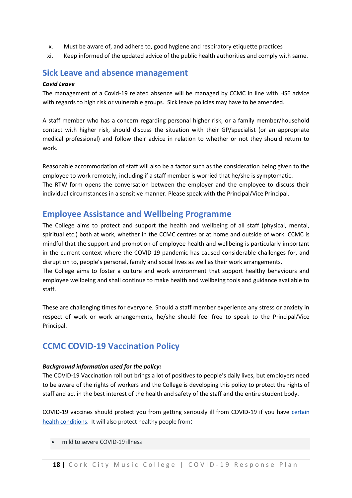- x. Must be aware of, and adhere to, good hygiene and respiratory etiquette practices
- xi. Keep informed of the updated advice of the public health authorities and comply with same.

#### **Sick Leave and absence management**

#### *Covid Leave*

The management of a Covid-19 related absence will be managed by CCMC in line with HSE advice with regards to high risk or vulnerable groups. Sick leave policies may have to be amended.

A staff member who has a concern regarding personal higher risk, or a family member/household contact with higher risk, should discuss the situation with their GP/specialist (or an appropriate medical professional) and follow their advice in relation to whether or not they should return to work.

Reasonable accommodation of staff will also be a factor such as the consideration being given to the employee to work remotely, including if a staff member is worried that he/she is symptomatic. The RTW form opens the conversation between the employer and the employee to discuss their individual circumstances in a sensitive manner. Please speak with the Principal/Vice Principal.

#### **Employee Assistance and Wellbeing Programme**

The College aims to protect and support the health and wellbeing of all staff (physical, mental, spiritual etc.) both at work, whether in the CCMC centres or at home and outside of work. CCMC is mindful that the support and promotion of employee health and wellbeing is particularly important in the current context where the COVID-19 pandemic has caused considerable challenges for, and disruption to, people's personal, family and social lives as well as their work arrangements. The College aims to foster a culture and work environment that support healthy behaviours and

employee wellbeing and shall continue to make health and wellbeing tools and guidance available to staff.

These are challenging times for everyone. Should a staff member experience any stress or anxiety in respect of work or work arrangements, he/she should feel free to speak to the Principal/Vice Principal.

#### **CCMC COVID-19 Vaccination Policy**

#### *Background information used for the policy:*

The COVID-19 Vaccination roll out brings a lot of positives to people's daily lives, but employers need to be aware of the rights of workers and the College is developing this policy to protect the rights of staff and act in the best interest of the health and safety of the staff and the entire student body.

COVID-19 vaccines should protect you from getting seriously ill from COVID-19 if you have [certain](https://www2.hse.ie/conditions/covid19/people-at-higher-risk/overview/)  [health conditions.](https://www2.hse.ie/conditions/covid19/people-at-higher-risk/overview/) It will also protect healthy people from:

• mild to severe COVID-19 illness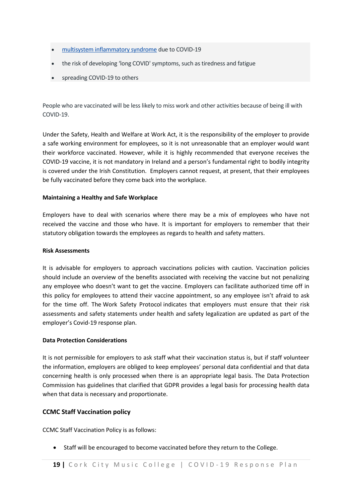- [multisystem inflammatory syndrome](https://www2.hse.ie/conditions/covid19/symptoms/medical-help-child/#multisystem-inflammatory-syndrome-mis-c) due to COVID-19
- the risk of developing 'long COVID' symptoms, such as tiredness and fatigue
- spreading COVID-19 to others

People who are vaccinated will be less likely to miss work and other activities because of being ill with COVID-19.

Under the Safety, Health and Welfare at Work Act, it is the responsibility of the employer to provide a safe working environment for employees, so it is not unreasonable that an employer would want their workforce vaccinated. However, while it is highly recommended that everyone receives the COVID-19 vaccine, it is not mandatory in Ireland and a person's fundamental right to bodily integrity is covered under the Irish Constitution. Employers cannot request, at present, that their employees be fully vaccinated before they come back into the workplace.

#### **Maintaining a Healthy and Safe Workplace**

Employers have to deal with scenarios where there may be a mix of employees who have not received the vaccine and those who have. It is important for employers to remember that their statutory obligation towards the employees as regards to health and safety matters.

#### **Risk Assessments**

It is advisable for employers to approach vaccinations policies with caution. Vaccination policies should include an overview of the benefits associated with receiving the vaccine but not penalizing any employee who doesn't want to get the vaccine. Employers can facilitate authorized time off in this policy for employees to attend their vaccine appointment, so any employee isn't afraid to ask for the time off. The Work Safety Protocol indicates that employers must ensure that their risk assessments and safety statements under health and safety legalization are updated as part of the employer's Covid-19 response plan.

#### **Data Protection Considerations**

It is not permissible for employers to ask staff what their vaccination status is, but if staff volunteer the information, employers are obliged to keep employees' personal data confidential and that data concerning health is only processed when there is an appropriate legal basis. The Data Protection Commission has guidelines that clarified that GDPR provides a legal basis for processing health data when that data is necessary and proportionate.

#### **CCMC Staff Vaccination policy**

CCMC Staff Vaccination Policy is as follows:

• Staff will be encouraged to become vaccinated before they return to the College.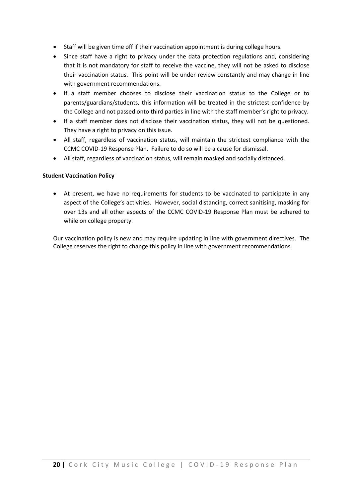- Staff will be given time off if their vaccination appointment is during college hours.
- Since staff have a right to privacy under the data protection regulations and, considering that it is not mandatory for staff to receive the vaccine, they will not be asked to disclose their vaccination status. This point will be under review constantly and may change in line with government recommendations.
- If a staff member chooses to disclose their vaccination status to the College or to parents/guardians/students, this information will be treated in the strictest confidence by the College and not passed onto third parties in line with the staff member's right to privacy.
- If a staff member does not disclose their vaccination status, they will not be questioned. They have a right to privacy on this issue.
- All staff, regardless of vaccination status, will maintain the strictest compliance with the CCMC COVID-19 Response Plan. Failure to do so will be a cause for dismissal.
- All staff, regardless of vaccination status, will remain masked and socially distanced.

#### **Student Vaccination Policy**

• At present, we have no requirements for students to be vaccinated to participate in any aspect of the College's activities. However, social distancing, correct sanitising, masking for over 13s and all other aspects of the CCMC COVID-19 Response Plan must be adhered to while on college property.

Our vaccination policy is new and may require updating in line with government directives. The College reserves the right to change this policy in line with government recommendations.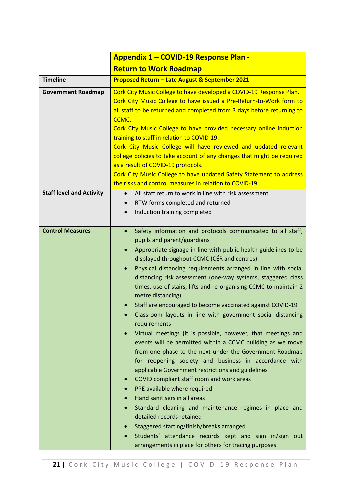|                                 | <b>Appendix 1 - COVID-19 Response Plan -</b>                                                                                                                                                                                                                                                                                                                                                                                                                                                                                                                                                                                                                                                                                                                                                                                                                                                                                                                                                                                                                                                                                                                                                                                                                                                          |  |  |  |  |
|---------------------------------|-------------------------------------------------------------------------------------------------------------------------------------------------------------------------------------------------------------------------------------------------------------------------------------------------------------------------------------------------------------------------------------------------------------------------------------------------------------------------------------------------------------------------------------------------------------------------------------------------------------------------------------------------------------------------------------------------------------------------------------------------------------------------------------------------------------------------------------------------------------------------------------------------------------------------------------------------------------------------------------------------------------------------------------------------------------------------------------------------------------------------------------------------------------------------------------------------------------------------------------------------------------------------------------------------------|--|--|--|--|
|                                 | <b>Return to Work Roadmap</b>                                                                                                                                                                                                                                                                                                                                                                                                                                                                                                                                                                                                                                                                                                                                                                                                                                                                                                                                                                                                                                                                                                                                                                                                                                                                         |  |  |  |  |
| <b>Timeline</b>                 | <b>Proposed Return - Late August &amp; September 2021</b>                                                                                                                                                                                                                                                                                                                                                                                                                                                                                                                                                                                                                                                                                                                                                                                                                                                                                                                                                                                                                                                                                                                                                                                                                                             |  |  |  |  |
| <b>Government Roadmap</b>       | Cork City Music College to have developed a COVID-19 Response Plan.<br>Cork City Music College to have issued a Pre-Return-to-Work form to<br>all staff to be returned and completed from 3 days before returning to<br>CCMC.<br>Cork City Music College to have provided necessary online induction<br>training to staff in relation to COVID-19.<br>Cork City Music College will have reviewed and updated relevant<br>college policies to take account of any changes that might be required<br>as a result of COVID-19 protocols.<br>Cork City Music College to have updated Safety Statement to address<br>the risks and control measures in relation to COVID-19.                                                                                                                                                                                                                                                                                                                                                                                                                                                                                                                                                                                                                               |  |  |  |  |
| <b>Staff level and Activity</b> | All staff return to work in line with risk assessment<br>$\bullet$                                                                                                                                                                                                                                                                                                                                                                                                                                                                                                                                                                                                                                                                                                                                                                                                                                                                                                                                                                                                                                                                                                                                                                                                                                    |  |  |  |  |
|                                 | RTW forms completed and returned<br>$\bullet$<br>Induction training completed<br>$\bullet$                                                                                                                                                                                                                                                                                                                                                                                                                                                                                                                                                                                                                                                                                                                                                                                                                                                                                                                                                                                                                                                                                                                                                                                                            |  |  |  |  |
| <b>Control Measures</b>         | Safety information and protocols communicated to all staff,<br>$\bullet$<br>pupils and parent/guardians<br>Appropriate signage in line with public health guidelines to be<br>$\bullet$<br>displayed throughout CCMC (CÉR and centres)<br>Physical distancing requirements arranged in line with social<br>distancing risk assessment (one-way systems, staggered class<br>times, use of stairs, lifts and re-organising CCMC to maintain 2<br>metre distancing)<br>Staff are encouraged to become vaccinated against COVID-19<br>Classroom layouts in line with government social distancing<br>requirements<br>Virtual meetings (it is possible, however, that meetings and<br>events will be permitted within a CCMC building as we move<br>from one phase to the next under the Government Roadmap<br>for reopening society and business in accordance with<br>applicable Government restrictions and guidelines<br>COVID compliant staff room and work areas<br>PPE available where required<br>Hand sanitisers in all areas<br>Standard cleaning and maintenance regimes in place and<br>detailed records retained<br>Staggered starting/finish/breaks arranged<br>Students' attendance records kept and sign in/sign out<br>$\bullet$<br>arrangements in place for others for tracing purposes |  |  |  |  |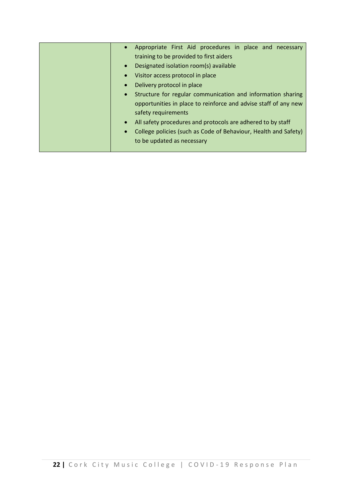| Appropriate First Aid procedures in place and necessary                      |
|------------------------------------------------------------------------------|
| training to be provided to first aiders                                      |
| Designated isolation room(s) available<br>$\bullet$                          |
| Visitor access protocol in place<br>$\bullet$                                |
| Delivery protocol in place<br>$\bullet$                                      |
| Structure for regular communication and information sharing<br>$\bullet$     |
| opportunities in place to reinforce and advise staff of any new              |
| safety requirements                                                          |
| All safety procedures and protocols are adhered to by staff<br>$\bullet$     |
| College policies (such as Code of Behaviour, Health and Safety)<br>$\bullet$ |
| to be updated as necessary                                                   |
|                                                                              |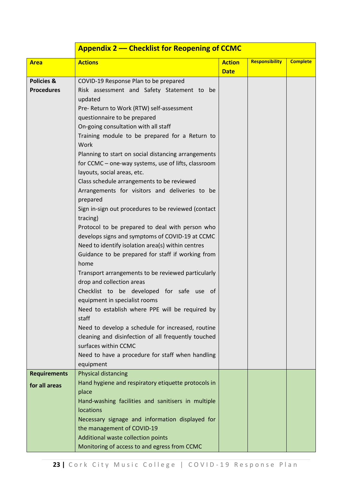|                       | <b>Appendix 2 – Checklist for Reopening of CCMC</b>      |               |                       |                 |  |  |  |
|-----------------------|----------------------------------------------------------|---------------|-----------------------|-----------------|--|--|--|
| <b>Area</b>           | <b>Actions</b>                                           | <b>Action</b> | <b>Responsibility</b> | <b>Complete</b> |  |  |  |
|                       |                                                          | <b>Date</b>   |                       |                 |  |  |  |
| <b>Policies &amp;</b> | COVID-19 Response Plan to be prepared                    |               |                       |                 |  |  |  |
| <b>Procedures</b>     | Risk assessment and Safety Statement to be               |               |                       |                 |  |  |  |
|                       | updated                                                  |               |                       |                 |  |  |  |
|                       | Pre- Return to Work (RTW) self-assessment                |               |                       |                 |  |  |  |
|                       | questionnaire to be prepared                             |               |                       |                 |  |  |  |
|                       | On-going consultation with all staff                     |               |                       |                 |  |  |  |
|                       | Training module to be prepared for a Return to           |               |                       |                 |  |  |  |
|                       | Work                                                     |               |                       |                 |  |  |  |
|                       | Planning to start on social distancing arrangements      |               |                       |                 |  |  |  |
|                       | for CCMC - one-way systems, use of lifts, classroom      |               |                       |                 |  |  |  |
|                       | layouts, social areas, etc.                              |               |                       |                 |  |  |  |
|                       | Class schedule arrangements to be reviewed               |               |                       |                 |  |  |  |
|                       | Arrangements for visitors and deliveries to be           |               |                       |                 |  |  |  |
|                       | prepared                                                 |               |                       |                 |  |  |  |
|                       | Sign in-sign out procedures to be reviewed (contact      |               |                       |                 |  |  |  |
|                       | tracing)                                                 |               |                       |                 |  |  |  |
|                       | Protocol to be prepared to deal with person who          |               |                       |                 |  |  |  |
|                       | develops signs and symptoms of COVID-19 at CCMC          |               |                       |                 |  |  |  |
|                       | Need to identify isolation area(s) within centres        |               |                       |                 |  |  |  |
|                       | Guidance to be prepared for staff if working from        |               |                       |                 |  |  |  |
|                       | home                                                     |               |                       |                 |  |  |  |
|                       | Transport arrangements to be reviewed particularly       |               |                       |                 |  |  |  |
|                       | drop and collection areas                                |               |                       |                 |  |  |  |
|                       | Checklist to be developed for safe use of                |               |                       |                 |  |  |  |
|                       | equipment in specialist rooms                            |               |                       |                 |  |  |  |
|                       | Need to establish where PPE will be required by<br>staff |               |                       |                 |  |  |  |
|                       | Need to develop a schedule for increased, routine        |               |                       |                 |  |  |  |
|                       | cleaning and disinfection of all frequently touched      |               |                       |                 |  |  |  |
|                       | surfaces within CCMC                                     |               |                       |                 |  |  |  |
|                       | Need to have a procedure for staff when handling         |               |                       |                 |  |  |  |
|                       | equipment                                                |               |                       |                 |  |  |  |
| <b>Requirements</b>   | Physical distancing                                      |               |                       |                 |  |  |  |
|                       | Hand hygiene and respiratory etiquette protocols in      |               |                       |                 |  |  |  |
| for all areas         | place                                                    |               |                       |                 |  |  |  |
|                       | Hand-washing facilities and sanitisers in multiple       |               |                       |                 |  |  |  |
|                       | locations                                                |               |                       |                 |  |  |  |
|                       | Necessary signage and information displayed for          |               |                       |                 |  |  |  |
|                       | the management of COVID-19                               |               |                       |                 |  |  |  |
|                       | Additional waste collection points                       |               |                       |                 |  |  |  |
|                       | Monitoring of access to and egress from CCMC             |               |                       |                 |  |  |  |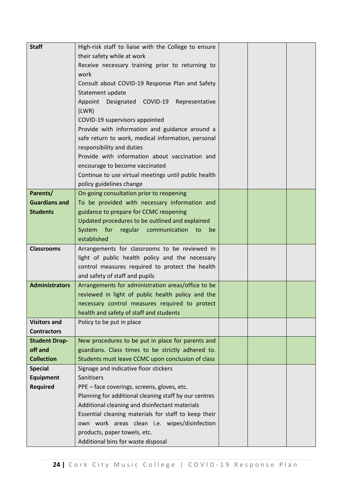| <b>Staff</b>                   | High-risk staff to liaise with the College to ensure  |  |  |
|--------------------------------|-------------------------------------------------------|--|--|
|                                | their safety while at work                            |  |  |
|                                | Receive necessary training prior to returning to      |  |  |
|                                | work                                                  |  |  |
|                                | Consult about COVID-19 Response Plan and Safety       |  |  |
|                                | Statement update                                      |  |  |
|                                | Designated COVID-19 Representative<br>Appoint         |  |  |
|                                | (LWR)                                                 |  |  |
|                                | COVID-19 supervisors appointed                        |  |  |
|                                | Provide with information and guidance around a        |  |  |
|                                | safe return to work, medical information, personal    |  |  |
|                                | responsibility and duties                             |  |  |
|                                | Provide with information about vaccination and        |  |  |
|                                | encourage to become vaccinated                        |  |  |
|                                | Continue to use virtual meetings until public health  |  |  |
|                                | policy guidelines change                              |  |  |
| Parents/                       | On-going consultation prior to reopening              |  |  |
| <b>Guardians and</b>           | To be provided with necessary information and         |  |  |
| <b>Students</b>                | guidance to prepare for CCMC reopening                |  |  |
|                                | Updated procedures to be outlined and explained       |  |  |
|                                | System for regular communication<br>to<br>be          |  |  |
|                                | established                                           |  |  |
| <b>Classrooms</b>              | Arrangements for classrooms to be reviewed in         |  |  |
|                                | light of public health policy and the necessary       |  |  |
|                                | control measures required to protect the health       |  |  |
|                                | and safety of staff and pupils                        |  |  |
| <b>Administrators</b>          | Arrangements for administration areas/office to be    |  |  |
|                                | reviewed in light of public health policy and the     |  |  |
|                                | necessary control measures required to protect        |  |  |
|                                | health and safety of staff and students               |  |  |
| <b>Visitors and</b>            | Policy to be put in place                             |  |  |
| <b>Contractors</b>             |                                                       |  |  |
| <b>Student Drop-</b>           | New procedures to be put in place for parents and     |  |  |
| off and                        | guardians. Class times to be strictly adhered to.     |  |  |
| <b>Collection</b>              | Students must leave CCMC upon conclusion of class     |  |  |
| <b>Special</b>                 | Signage and indicative floor stickers                 |  |  |
| <b>Equipment</b><br>Sanitisers |                                                       |  |  |
| <b>Required</b>                | PPE - face coverings, screens, gloves, etc.           |  |  |
|                                | Planning for additional cleaning staff by our centres |  |  |
|                                | Additional cleaning and disinfectant materials        |  |  |
|                                | Essential cleaning materials for staff to keep their  |  |  |
|                                | own work areas clean i.e. wipes/disinfection          |  |  |
|                                |                                                       |  |  |
|                                | products, paper towels, etc.                          |  |  |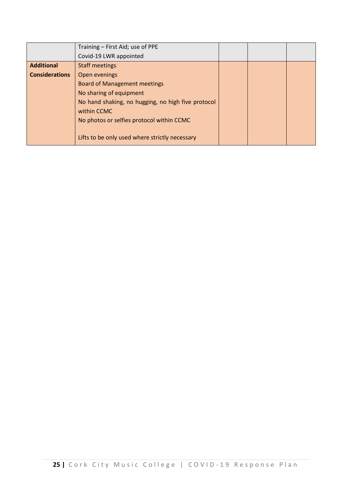|                       | Training - First Aid; use of PPE                   |  |  |
|-----------------------|----------------------------------------------------|--|--|
|                       | Covid-19 LWR appointed                             |  |  |
| <b>Additional</b>     | <b>Staff meetings</b>                              |  |  |
| <b>Considerations</b> | Open evenings                                      |  |  |
|                       | <b>Board of Management meetings</b>                |  |  |
|                       | No sharing of equipment                            |  |  |
|                       | No hand shaking, no hugging, no high five protocol |  |  |
|                       | within CCMC                                        |  |  |
|                       | No photos or selfies protocol within CCMC          |  |  |
|                       |                                                    |  |  |
|                       | Lifts to be only used where strictly necessary     |  |  |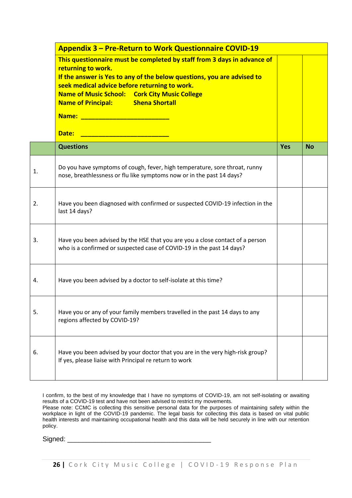|    | <b>Appendix 3 – Pre-Return to Work Questionnaire COVID-19</b>                                                                                                                                                                                                                                                                |            |           |  |  |  |
|----|------------------------------------------------------------------------------------------------------------------------------------------------------------------------------------------------------------------------------------------------------------------------------------------------------------------------------|------------|-----------|--|--|--|
|    | This questionnaire must be completed by staff from 3 days in advance of<br>returning to work.<br>If the answer is Yes to any of the below questions, you are advised to<br>seek medical advice before returning to work.<br><b>Name of Music School: Cork City Music College</b><br><b>Name of Principal: Shena Shortall</b> |            |           |  |  |  |
|    | <b>Questions</b>                                                                                                                                                                                                                                                                                                             | <b>Yes</b> | <b>No</b> |  |  |  |
| 1. | Do you have symptoms of cough, fever, high temperature, sore throat, runny<br>nose, breathlessness or flu like symptoms now or in the past 14 days?                                                                                                                                                                          |            |           |  |  |  |
| 2. | Have you been diagnosed with confirmed or suspected COVID-19 infection in the<br>last 14 days?                                                                                                                                                                                                                               |            |           |  |  |  |
| 3. | Have you been advised by the HSE that you are you a close contact of a person<br>who is a confirmed or suspected case of COVID-19 in the past 14 days?                                                                                                                                                                       |            |           |  |  |  |
| 4. | Have you been advised by a doctor to self-isolate at this time?                                                                                                                                                                                                                                                              |            |           |  |  |  |
| 5. | Have you or any of your family members travelled in the past 14 days to any<br>regions affected by COVID-19?                                                                                                                                                                                                                 |            |           |  |  |  |
| 6. | Have you been advised by your doctor that you are in the very high-risk group?<br>If yes, please liaise with Principal re return to work                                                                                                                                                                                     |            |           |  |  |  |

I confirm, to the best of my knowledge that I have no symptoms of COVID-19, am not self-isolating or awaiting results of a COVID-19 test and have not been advised to restrict my movements. Please note: CCMC is collecting this sensitive personal data for the purposes of maintaining safety within the workplace in light of the COVID-19 pandemic. The legal basis for collecting this data is based on vital public health interests and maintaining occupational health and this data will be held securely in line with our retention policy.

 $Signed:$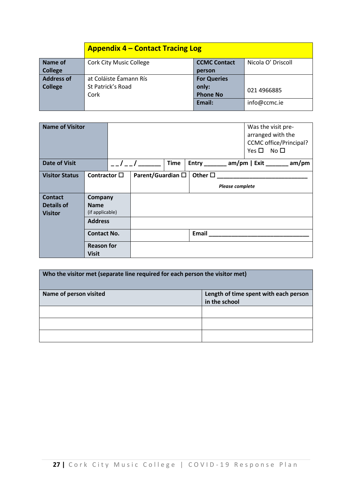|                   | <b>Appendix 4 – Contact Tracing Log</b>                                     |        |              |  |  |  |  |
|-------------------|-----------------------------------------------------------------------------|--------|--------------|--|--|--|--|
| Name of           | Nicola O' Driscoll<br><b>Cork City Music College</b><br><b>CCMC Contact</b> |        |              |  |  |  |  |
| <b>College</b>    | person                                                                      |        |              |  |  |  |  |
| <b>Address of</b> | at Coláiste Éamann Rís<br><b>For Queries</b>                                |        |              |  |  |  |  |
| <b>College</b>    | St Patrick's Road                                                           | only:  | 021 4966885  |  |  |  |  |
|                   | Cork                                                                        |        |              |  |  |  |  |
|                   |                                                                             | Email: | info@ccmc.ie |  |  |  |  |

| <b>Name of Visitor</b>                                |                                           |                      |             |                 | $Yes \Box No \Box$     | Was the visit pre-<br>arranged with the<br><b>CCMC</b> office/Principal? |                                          |
|-------------------------------------------------------|-------------------------------------------|----------------------|-------------|-----------------|------------------------|--------------------------------------------------------------------------|------------------------------------------|
| <b>Date of Visit</b>                                  |                                           | $\frac{1}{\sqrt{2}}$ | <b>Time</b> |                 |                        |                                                                          | Entry _______ am/pm   Exit _______ am/pm |
| <b>Visitor Status</b>                                 | Contractor $\square$                      | Parent/Guardian □    |             | Other $\square$ |                        |                                                                          |                                          |
|                                                       |                                           |                      |             |                 | <b>Please complete</b> |                                                                          |                                          |
| <b>Contact</b><br><b>Details of</b><br><b>Visitor</b> | Company<br><b>Name</b><br>(if applicable) |                      |             |                 |                        |                                                                          |                                          |
|                                                       | <b>Address</b>                            |                      |             |                 |                        |                                                                          |                                          |
|                                                       | <b>Contact No.</b>                        |                      |             | Email           |                        |                                                                          |                                          |
|                                                       | <b>Reason for</b><br><b>Visit</b>         |                      |             |                 |                        |                                                                          |                                          |

| Who the visitor met (separate line required for each person the visitor met) |               |  |  |  |  |
|------------------------------------------------------------------------------|---------------|--|--|--|--|
| Length of time spent with each person<br>Name of person visited              |               |  |  |  |  |
|                                                                              | in the school |  |  |  |  |
|                                                                              |               |  |  |  |  |
|                                                                              |               |  |  |  |  |
|                                                                              |               |  |  |  |  |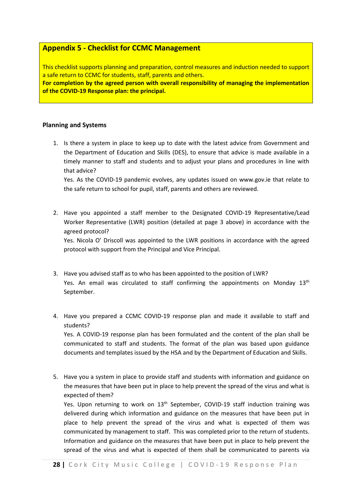#### **Appendix 5 - Checklist for CCMC Management**

This checklist supports planning and preparation, control measures and induction needed to support a safe return to CCMC for students, staff, parents and others.

**For completion by the agreed person with overall responsibility of managing the implementation of the COVID-19 Response plan: the principal.**

#### **Planning and Systems**

1. Is there a system in place to keep up to date with the latest advice from Government and the Department of Education and Skills (DES), to ensure that advice is made available in a timely manner to staff and students and to adjust your plans and procedures in line with that advice?

Yes. As the COVID-19 pandemic evolves, any updates issued on www.gov.ie that relate to the safe return to school for pupil, staff, parents and others are reviewed.

2. Have you appointed a staff member to the Designated COVID-19 Representative/Lead Worker Representative (LWR) position (detailed at page 3 above) in accordance with the agreed protocol?

Yes. Nicola O' Driscoll was appointed to the LWR positions in accordance with the agreed protocol with support from the Principal and Vice Principal.

- 3. Have you advised staff as to who has been appointed to the position of LWR? Yes. An email was circulated to staff confirming the appointments on Monday 13<sup>th</sup> September.
- 4. Have you prepared a CCMC COVID-19 response plan and made it available to staff and students?

Yes. A COVID-19 response plan has been formulated and the content of the plan shall be communicated to staff and students. The format of the plan was based upon guidance documents and templates issued by the HSA and by the Department of Education and Skills.

5. Have you a system in place to provide staff and students with information and guidance on the measures that have been put in place to help prevent the spread of the virus and what is expected of them?

Yes. Upon returning to work on 13<sup>th</sup> September, COVID-19 staff induction training was delivered during which information and guidance on the measures that have been put in place to help prevent the spread of the virus and what is expected of them was communicated by management to staff. This was completed prior to the return of students. Information and guidance on the measures that have been put in place to help prevent the spread of the virus and what is expected of them shall be communicated to parents via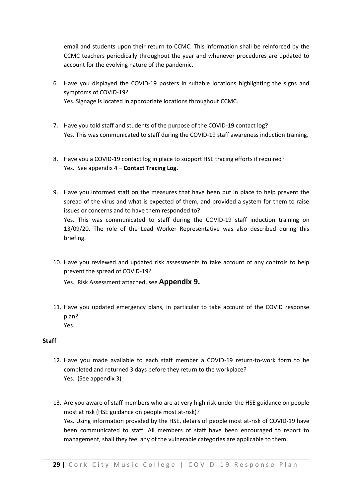email and students upon their return to CCMC. This information shall be reinforced by the CCMC teachers periodically throughout the year and whenever procedures are updated to account for the evolving nature of the pandemic.

- 6. Have you displayed the COVID-19 posters in suitable locations highlighting the signs and symptoms of COVID-19? Yes. Signage is located in appropriate locations throughout CCMC.
- 7. Have you told staff and students of the purpose of the COVID-19 contact log?
	- Yes. This was communicated to staff during the COVID-19 staff awareness induction training.
- 8. Have you a COVID-19 contact log in place to support HSE tracing efforts if required? Yes. See appendix 4 – **Contact Tracing Log.**
- 9. Have you informed staff on the measures that have been put in place to help prevent the spread of the virus and what is expected of them, and provided a system for them to raise issues or concerns and to have them responded to? Yes. This was communicated to staff during the COVID-19 staff induction training on 13/09/20. The role of the Lead Worker Representative was also described during this briefing.
- 10. Have you reviewed and updated risk assessments to take account of any controls to help prevent the spread of COVID-19?

Yes. Risk Assessment attached, see **Appendix 9.**

11. Have you updated emergency plans, in particular to take account of the COVID response plan? Yes.

#### **Staff**

- 12. Have you made available to each staff member a COVID-19 return-to-work form to be completed and returned 3 days before they return to the workplace? Yes. (See appendix 3)
- 13. Are you aware of staff members who are at very high risk under the HSE guidance on people most at risk (HSE guidance on people most at-risk)? Yes. Using information provided by the HSE, details of people most at-risk of COVID-19 have been communicated to staff. All members of staff have been encouraged to report to management, shall they feel any of the vulnerable categories are applicable to them.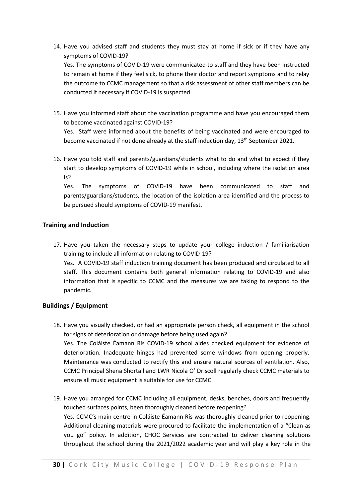- 14. Have you advised staff and students they must stay at home if sick or if they have any symptoms of COVID-19? Yes. The symptoms of COVID-19 were communicated to staff and they have been instructed to remain at home if they feel sick, to phone their doctor and report symptoms and to relay the outcome to CCMC management so that a risk assessment of other staff members can be conducted if necessary if COVID-19 is suspected.
- 15. Have you informed staff about the vaccination programme and have you encouraged them to become vaccinated against COVID-19?

Yes. Staff were informed about the benefits of being vaccinated and were encouraged to become vaccinated if not done already at the staff induction day, 13<sup>th</sup> September 2021.

16. Have you told staff and parents/guardians/students what to do and what to expect if they start to develop symptoms of COVID-19 while in school, including where the isolation area is?

Yes. The symptoms of COVID-19 have been communicated to staff and parents/guardians/students, the location of the isolation area identified and the process to be pursued should symptoms of COVID-19 manifest.

#### **Training and Induction**

17. Have you taken the necessary steps to update your college induction / familiarisation training to include all information relating to COVID-19? Yes. A COVID-19 staff induction training document has been produced and circulated to all staff. This document contains both general information relating to COVID-19 and also information that is specific to CCMC and the measures we are taking to respond to the pandemic.

#### **Buildings / Equipment**

- 18. Have you visually checked, or had an appropriate person check, all equipment in the school for signs of deterioration or damage before being used again? Yes. The Coláiste Éamann Rís COVID-19 school aides checked equipment for evidence of deterioration. Inadequate hinges had prevented some windows from opening properly. Maintenance was conducted to rectify this and ensure natural sources of ventilation. Also, CCMC Principal Shena Shortall and LWR Nicola O' Driscoll regularly check CCMC materials to ensure all music equipment is suitable for use for CCMC.
- 19. Have you arranged for CCMC including all equipment, desks, benches, doors and frequently touched surfaces points, been thoroughly cleaned before reopening? Yes. CCMC's main centre in Coláiste Éamann Rís was thoroughly cleaned prior to reopening. Additional cleaning materials were procured to facilitate the implementation of a "Clean as you go" policy. In addition, CHOC Services are contracted to deliver cleaning solutions throughout the school during the 2021/2022 academic year and will play a key role in the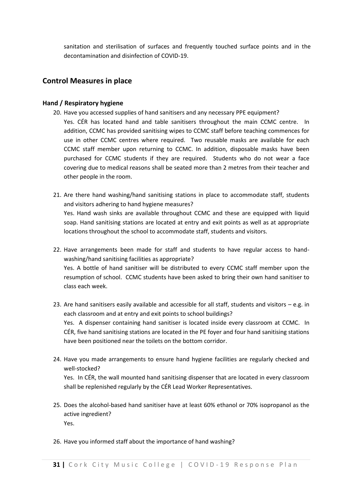sanitation and sterilisation of surfaces and frequently touched surface points and in the decontamination and disinfection of COVID-19.

#### **Control Measures in place**

#### **Hand / Respiratory hygiene**

- 20. Have you accessed supplies of hand sanitisers and any necessary PPE equipment?
	- Yes. CÉR has located hand and table sanitisers throughout the main CCMC centre. In addition, CCMC has provided sanitising wipes to CCMC staff before teaching commences for use in other CCMC centres where required. Two reusable masks are available for each CCMC staff member upon returning to CCMC. In addition, disposable masks have been purchased for CCMC students if they are required. Students who do not wear a face covering due to medical reasons shall be seated more than 2 metres from their teacher and other people in the room.
- 21. Are there hand washing/hand sanitising stations in place to accommodate staff, students and visitors adhering to hand hygiene measures? Yes. Hand wash sinks are available throughout CCMC and these are equipped with liquid soap. Hand sanitising stations are located at entry and exit points as well as at appropriate locations throughout the school to accommodate staff, students and visitors.
- 22. Have arrangements been made for staff and students to have regular access to handwashing/hand sanitising facilities as appropriate? Yes. A bottle of hand sanitiser will be distributed to every CCMC staff member upon the resumption of school. CCMC students have been asked to bring their own hand sanitiser to class each week.
- 23. Are hand sanitisers easily available and accessible for all staff, students and visitors e.g. in each classroom and at entry and exit points to school buildings? Yes. A dispenser containing hand sanitiser is located inside every classroom at CCMC. In CÉR, five hand sanitising stations are located in the PE foyer and four hand sanitising stations have been positioned near the toilets on the bottom corridor.
- 24. Have you made arrangements to ensure hand hygiene facilities are regularly checked and well-stocked?

Yes. In CÉR, the wall mounted hand sanitising dispenser that are located in every classroom shall be replenished regularly by the CÉR Lead Worker Representatives.

- 25. Does the alcohol-based hand sanitiser have at least 60% ethanol or 70% isopropanol as the active ingredient? Yes.
- 26. Have you informed staff about the importance of hand washing?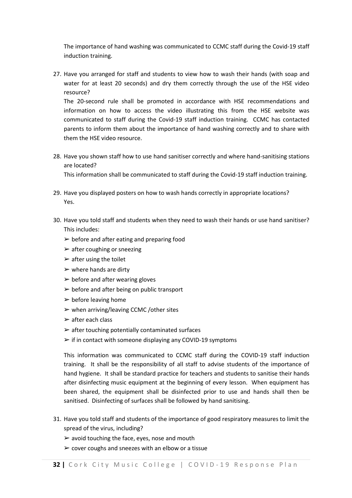The importance of hand washing was communicated to CCMC staff during the Covid-19 staff induction training.

27. Have you arranged for staff and students to view how to wash their hands (with soap and water for at least 20 seconds) and dry them correctly through the use of the HSE video resource?

The 20-second rule shall be promoted in accordance with HSE recommendations and information on how to access the video illustrating this from the HSE website was communicated to staff during the Covid-19 staff induction training. CCMC has contacted parents to inform them about the importance of hand washing correctly and to share with them the HSE video resource.

28. Have you shown staff how to use hand sanitiser correctly and where hand-sanitising stations are located?

This information shall be communicated to staff during the Covid-19 staff induction training.

- 29. Have you displayed posters on how to wash hands correctly in appropriate locations? Yes.
- 30. Have you told staff and students when they need to wash their hands or use hand sanitiser? This includes:
	- $\triangleright$  before and after eating and preparing food
	- $\triangleright$  after coughing or sneezing
	- $\triangleright$  after using the toilet
	- $\triangleright$  where hands are dirty
	- $\triangleright$  before and after wearing gloves
	- $\triangleright$  before and after being on public transport
	- $\triangleright$  before leaving home
	- $\triangleright$  when arriving/leaving CCMC / other sites
	- $\triangleright$  after each class
	- $\triangleright$  after touching potentially contaminated surfaces
	- $\triangleright$  if in contact with someone displaying any COVID-19 symptoms

This information was communicated to CCMC staff during the COVID-19 staff induction training. It shall be the responsibility of all staff to advise students of the importance of hand hygiene. It shall be standard practice for teachers and students to sanitise their hands after disinfecting music equipment at the beginning of every lesson. When equipment has been shared, the equipment shall be disinfected prior to use and hands shall then be sanitised. Disinfecting of surfaces shall be followed by hand sanitising.

- 31. Have you told staff and students of the importance of good respiratory measures to limit the spread of the virus, including?
	- $\triangleright$  avoid touching the face, eyes, nose and mouth
	- $\triangleright$  cover coughs and sneezes with an elbow or a tissue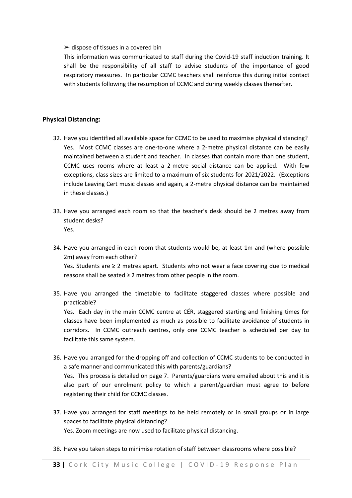#### $\triangleright$  dispose of tissues in a covered bin

This information was communicated to staff during the Covid-19 staff induction training. It shall be the responsibility of all staff to advise students of the importance of good respiratory measures. In particular CCMC teachers shall reinforce this during initial contact with students following the resumption of CCMC and during weekly classes thereafter.

#### **Physical Distancing:**

- 32. Have you identified all available space for CCMC to be used to maximise physical distancing? Yes. Most CCMC classes are one-to-one where a 2-metre physical distance can be easily maintained between a student and teacher. In classes that contain more than one student, CCMC uses rooms where at least a 2-metre social distance can be applied. With few exceptions, class sizes are limited to a maximum of six students for 2021/2022. (Exceptions include Leaving Cert music classes and again, a 2-metre physical distance can be maintained in these classes.)
- 33. Have you arranged each room so that the teacher's desk should be 2 metres away from student desks? Yes.
- 34. Have you arranged in each room that students would be, at least 1m and (where possible 2m) away from each other? Yes. Students are ≥ 2 metres apart. Students who not wear a face covering due to medical reasons shall be seated ≥ 2 metres from other people in the room.
- 35. Have you arranged the timetable to facilitate staggered classes where possible and practicable?

Yes. Each day in the main CCMC centre at CÉR, staggered starting and finishing times for classes have been implemented as much as possible to facilitate avoidance of students in corridors. In CCMC outreach centres, only one CCMC teacher is scheduled per day to facilitate this same system.

- 36. Have you arranged for the dropping off and collection of CCMC students to be conducted in a safe manner and communicated this with parents/guardians? Yes. This process is detailed on page 7. Parents/guardians were emailed about this and it is also part of our enrolment policy to which a parent/guardian must agree to before
- 37. Have you arranged for staff meetings to be held remotely or in small groups or in large spaces to facilitate physical distancing? Yes. Zoom meetings are now used to facilitate physical distancing.
- 38. Have you taken steps to minimise rotation of staff between classrooms where possible?

registering their child for CCMC classes.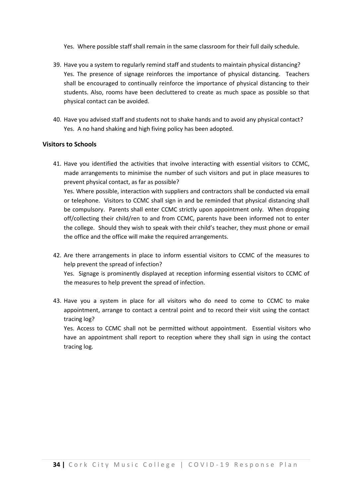Yes. Where possible staff shall remain in the same classroom for their full daily schedule.

- 39. Have you a system to regularly remind staff and students to maintain physical distancing? Yes. The presence of signage reinforces the importance of physical distancing. Teachers shall be encouraged to continually reinforce the importance of physical distancing to their students. Also, rooms have been decluttered to create as much space as possible so that physical contact can be avoided.
- 40. Have you advised staff and students not to shake hands and to avoid any physical contact? Yes. A no hand shaking and high fiving policy has been adopted.

#### **Visitors to Schools**

41. Have you identified the activities that involve interacting with essential visitors to CCMC, made arrangements to minimise the number of such visitors and put in place measures to prevent physical contact, as far as possible?

Yes. Where possible, interaction with suppliers and contractors shall be conducted via email or telephone. Visitors to CCMC shall sign in and be reminded that physical distancing shall be compulsory. Parents shall enter CCMC strictly upon appointment only. When dropping off/collecting their child/ren to and from CCMC, parents have been informed not to enter the college. Should they wish to speak with their child's teacher, they must phone or email the office and the office will make the required arrangements.

42. Are there arrangements in place to inform essential visitors to CCMC of the measures to help prevent the spread of infection?

Yes. Signage is prominently displayed at reception informing essential visitors to CCMC of the measures to help prevent the spread of infection.

43. Have you a system in place for all visitors who do need to come to CCMC to make appointment, arrange to contact a central point and to record their visit using the contact tracing log?

Yes. Access to CCMC shall not be permitted without appointment. Essential visitors who have an appointment shall report to reception where they shall sign in using the contact tracing log.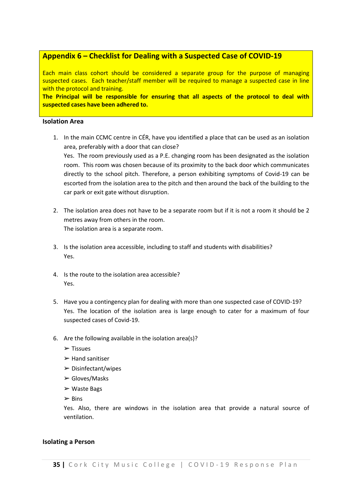#### **Appendix 6 – Checklist for Dealing with a Suspected Case of COVID-19**

Each main class cohort should be considered a separate group for the purpose of managing suspected cases. Each teacher/staff member will be required to manage a suspected case in line with the protocol and training.

**The Principal will be responsible for ensuring that all aspects of the protocol to deal with suspected cases have been adhered to.**

#### **Isolation Area**

- 1. In the main CCMC centre in CÉR, have you identified a place that can be used as an isolation area, preferably with a door that can close? Yes. The room previously used as a P.E. changing room has been designated as the isolation room. This room was chosen because of its proximity to the back door which communicates directly to the school pitch. Therefore, a person exhibiting symptoms of Covid-19 can be escorted from the isolation area to the pitch and then around the back of the building to the
- 2. The isolation area does not have to be a separate room but if it is not a room it should be 2 metres away from others in the room. The isolation area is a separate room.
- 3. Is the isolation area accessible, including to staff and students with disabilities? Yes.
- 4. Is the route to the isolation area accessible? Yes.

car park or exit gate without disruption.

- 5. Have you a contingency plan for dealing with more than one suspected case of COVID-19? Yes. The location of the isolation area is large enough to cater for a maximum of four suspected cases of Covid-19.
- 6. Are the following available in the isolation area(s)?
	- ➢ Tissues
	- $\blacktriangleright$  Hand sanitiser
	- $\triangleright$  Disinfectant/wipes
	- ➢ Gloves/Masks
	- ➢ Waste Bags
	- $\triangleright$  Bins

Yes. Also, there are windows in the isolation area that provide a natural source of ventilation.

#### **Isolating a Person**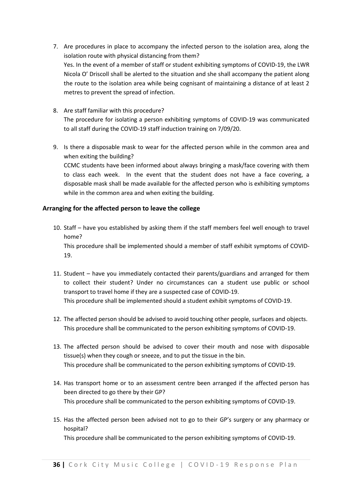- 7. Are procedures in place to accompany the infected person to the isolation area, along the isolation route with physical distancing from them? Yes. In the event of a member of staff or student exhibiting symptoms of COVID-19, the LWR Nicola O' Driscoll shall be alerted to the situation and she shall accompany the patient along the route to the isolation area while being cognisant of maintaining a distance of at least 2 metres to prevent the spread of infection.
- 8. Are staff familiar with this procedure? The procedure for isolating a person exhibiting symptoms of COVID-19 was communicated to all staff during the COVID-19 staff induction training on 7/09/20.
- 9. Is there a disposable mask to wear for the affected person while in the common area and when exiting the building? CCMC students have been informed about always bringing a mask/face covering with them to class each week. In the event that the student does not have a face covering, a disposable mask shall be made available for the affected person who is exhibiting symptoms while in the common area and when exiting the building.

#### **Arranging for the affected person to leave the college**

- 10. Staff have you established by asking them if the staff members feel well enough to travel home? This procedure shall be implemented should a member of staff exhibit symptoms of COVID-19.
- 11. Student have you immediately contacted their parents/guardians and arranged for them to collect their student? Under no circumstances can a student use public or school transport to travel home if they are a suspected case of COVID-19. This procedure shall be implemented should a student exhibit symptoms of COVID-19.
- 12. The affected person should be advised to avoid touching other people, surfaces and objects. This procedure shall be communicated to the person exhibiting symptoms of COVID-19.
- 13. The affected person should be advised to cover their mouth and nose with disposable tissue(s) when they cough or sneeze, and to put the tissue in the bin. This procedure shall be communicated to the person exhibiting symptoms of COVID-19.
- 14. Has transport home or to an assessment centre been arranged if the affected person has been directed to go there by their GP? This procedure shall be communicated to the person exhibiting symptoms of COVID-19.
- 15. Has the affected person been advised not to go to their GP's surgery or any pharmacy or hospital? This procedure shall be communicated to the person exhibiting symptoms of COVID-19.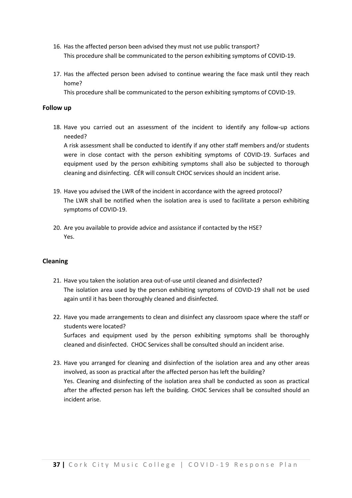- 16. Has the affected person been advised they must not use public transport? This procedure shall be communicated to the person exhibiting symptoms of COVID-19.
- 17. Has the affected person been advised to continue wearing the face mask until they reach home?

This procedure shall be communicated to the person exhibiting symptoms of COVID-19.

#### **Follow up**

18. Have you carried out an assessment of the incident to identify any follow-up actions needed?

A risk assessment shall be conducted to identify if any other staff members and/or students were in close contact with the person exhibiting symptoms of COVID-19. Surfaces and equipment used by the person exhibiting symptoms shall also be subjected to thorough cleaning and disinfecting. CÉR will consult CHOC services should an incident arise.

- 19. Have you advised the LWR of the incident in accordance with the agreed protocol? The LWR shall be notified when the isolation area is used to facilitate a person exhibiting symptoms of COVID-19.
- 20. Are you available to provide advice and assistance if contacted by the HSE? Yes.

#### **Cleaning**

- 21. Have you taken the isolation area out-of-use until cleaned and disinfected? The isolation area used by the person exhibiting symptoms of COVID-19 shall not be used again until it has been thoroughly cleaned and disinfected.
- 22. Have you made arrangements to clean and disinfect any classroom space where the staff or students were located? Surfaces and equipment used by the person exhibiting symptoms shall be thoroughly cleaned and disinfected. CHOC Services shall be consulted should an incident arise.
- 23. Have you arranged for cleaning and disinfection of the isolation area and any other areas involved, as soon as practical after the affected person has left the building? Yes. Cleaning and disinfecting of the isolation area shall be conducted as soon as practical after the affected person has left the building. CHOC Services shall be consulted should an incident arise.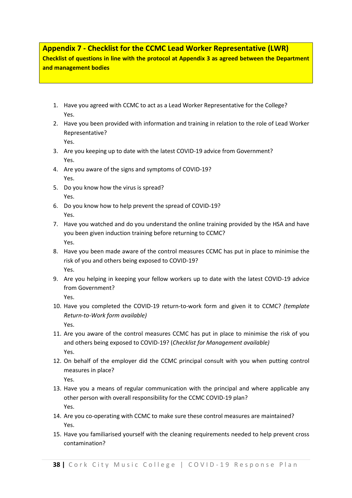#### **Appendix 7 - Checklist for the CCMC Lead Worker Representative (LWR)**

**Checklist of questions in line with the protocol at Appendix 3 as agreed between the Department and management bodies** 

- 1. Have you agreed with CCMC to act as a Lead Worker Representative for the College? Yes.
- 2. Have you been provided with information and training in relation to the role of Lead Worker Representative?

Yes.

- 3. Are you keeping up to date with the latest COVID-19 advice from Government? Yes.
- 4. Are you aware of the signs and symptoms of COVID-19? Yes.
- 5. Do you know how the virus is spread? Yes.
- 6. Do you know how to help prevent the spread of COVID-19? Yes.
- 7. Have you watched and do you understand the online training provided by the HSA and have you been given induction training before returning to CCMC? Yes.
- 8. Have you been made aware of the control measures CCMC has put in place to minimise the risk of you and others being exposed to COVID-19? Yes.
- 9. Are you helping in keeping your fellow workers up to date with the latest COVID-19 advice from Government?

Yes.

- 10. Have you completed the COVID-19 return-to-work form and given it to CCMC? *(template Return-to-Work form available)*  Yes.
- 11. Are you aware of the control measures CCMC has put in place to minimise the risk of you and others being exposed to COVID-19? (*Checklist for Management available)*  Yes.
- 12. On behalf of the employer did the CCMC principal consult with you when putting control measures in place?

Yes.

- 13. Have you a means of regular communication with the principal and where applicable any other person with overall responsibility for the CCMC COVID-19 plan? Yes.
- 14. Are you co-operating with CCMC to make sure these control measures are maintained? Yes.
- 15. Have you familiarised yourself with the cleaning requirements needed to help prevent cross contamination?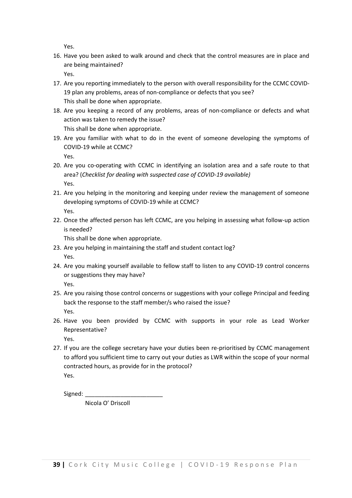Yes.

16. Have you been asked to walk around and check that the control measures are in place and are being maintained?

Yes.

- 17. Are you reporting immediately to the person with overall responsibility for the CCMC COVID-19 plan any problems, areas of non-compliance or defects that you see? This shall be done when appropriate.
- 18. Are you keeping a record of any problems, areas of non-compliance or defects and what action was taken to remedy the issue?

This shall be done when appropriate.

- 19. Are you familiar with what to do in the event of someone developing the symptoms of COVID-19 while at CCMC? Yes.
- 20. Are you co-operating with CCMC in identifying an isolation area and a safe route to that area? (*Checklist for dealing with suspected case of COVID-19 available)*  Yes.
- 21. Are you helping in the monitoring and keeping under review the management of someone developing symptoms of COVID-19 while at CCMC? Yes.
- 22. Once the affected person has left CCMC, are you helping in assessing what follow-up action is needed?

This shall be done when appropriate.

- 23. Are you helping in maintaining the staff and student contact log? Yes.
- 24. Are you making yourself available to fellow staff to listen to any COVID-19 control concerns or suggestions they may have? Yes.
- 25. Are you raising those control concerns or suggestions with your college Principal and feeding back the response to the staff member/s who raised the issue? Yes.
- 26. Have you been provided by CCMC with supports in your role as Lead Worker Representative?

Yes.

27. If you are the college secretary have your duties been re-prioritised by CCMC management to afford you sufficient time to carry out your duties as LWR within the scope of your normal contracted hours, as provide for in the protocol? Yes.

Signed:

Nicola O' Driscoll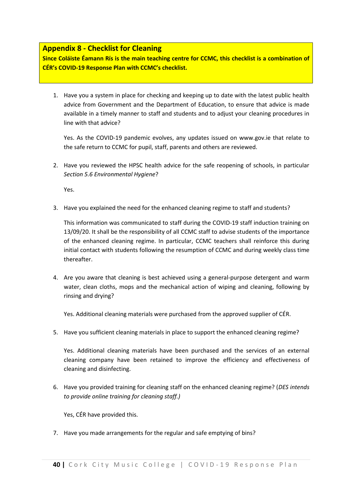#### **Appendix 8 - Checklist for Cleaning**

**Since Coláiste Éamann Rís is the main teaching centre for CCMC, this checklist is a combination of CÉR's COVID-19 Response Plan with CCMC's checklist.**

1. Have you a system in place for checking and keeping up to date with the latest public health advice from Government and the Department of Education, to ensure that advice is made available in a timely manner to staff and students and to adjust your cleaning procedures in line with that advice?

Yes. As the COVID-19 pandemic evolves, any updates issued on www.gov.ie that relate to the safe return to CCMC for pupil, staff, parents and others are reviewed.

2. Have you reviewed the HPSC health advice for the safe reopening of schools, in particular *Section 5.6 Environmental Hygiene*?

Yes.

3. Have you explained the need for the enhanced cleaning regime to staff and students?

This information was communicated to staff during the COVID-19 staff induction training on 13/09/20. It shall be the responsibility of all CCMC staff to advise students of the importance of the enhanced cleaning regime. In particular, CCMC teachers shall reinforce this during initial contact with students following the resumption of CCMC and during weekly class time thereafter.

4. Are you aware that cleaning is best achieved using a general-purpose detergent and warm water, clean cloths, mops and the mechanical action of wiping and cleaning, following by rinsing and drying?

Yes. Additional cleaning materials were purchased from the approved supplier of CÉR.

5. Have you sufficient cleaning materials in place to support the enhanced cleaning regime?

Yes. Additional cleaning materials have been purchased and the services of an external cleaning company have been retained to improve the efficiency and effectiveness of cleaning and disinfecting.

6. Have you provided training for cleaning staff on the enhanced cleaning regime? (*DES intends to provide online training for cleaning staff.)* 

Yes, CÉR have provided this.

7. Have you made arrangements for the regular and safe emptying of bins?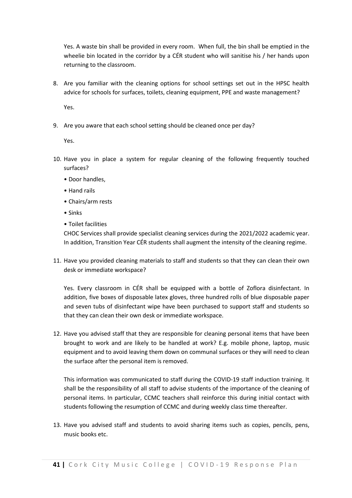Yes. A waste bin shall be provided in every room. When full, the bin shall be emptied in the wheelie bin located in the corridor by a CÉR student who will sanitise his / her hands upon returning to the classroom.

8. Are you familiar with the cleaning options for school settings set out in the HPSC health advice for schools for surfaces, toilets, cleaning equipment, PPE and waste management?

Yes.

9. Are you aware that each school setting should be cleaned once per day?

Yes.

- 10. Have you in place a system for regular cleaning of the following frequently touched surfaces?
	- Door handles,
	- Hand rails
	- Chairs/arm rests
	- Sinks
	- Toilet facilities

CHOC Services shall provide specialist cleaning services during the 2021/2022 academic year. In addition, Transition Year CÉR students shall augment the intensity of the cleaning regime.

11. Have you provided cleaning materials to staff and students so that they can clean their own desk or immediate workspace?

Yes. Every classroom in CÉR shall be equipped with a bottle of Zoflora disinfectant. In addition, five boxes of disposable latex gloves, three hundred rolls of blue disposable paper and seven tubs of disinfectant wipe have been purchased to support staff and students so that they can clean their own desk or immediate workspace.

12. Have you advised staff that they are responsible for cleaning personal items that have been brought to work and are likely to be handled at work? E.g. mobile phone, laptop, music equipment and to avoid leaving them down on communal surfaces or they will need to clean the surface after the personal item is removed.

This information was communicated to staff during the COVID-19 staff induction training. It shall be the responsibility of all staff to advise students of the importance of the cleaning of personal items. In particular, CCMC teachers shall reinforce this during initial contact with students following the resumption of CCMC and during weekly class time thereafter.

13. Have you advised staff and students to avoid sharing items such as copies, pencils, pens, music books etc.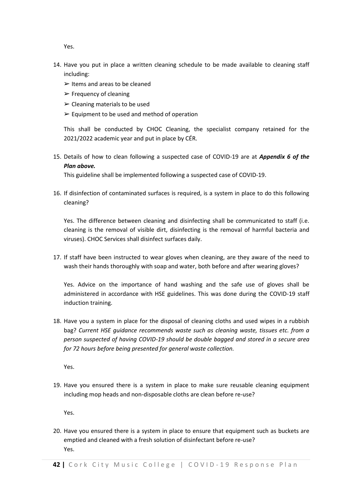Yes.

- 14. Have you put in place a written cleaning schedule to be made available to cleaning staff including:
	- $\triangleright$  Items and areas to be cleaned
	- $\triangleright$  Frequency of cleaning
	- $\triangleright$  Cleaning materials to be used
	- $\triangleright$  Equipment to be used and method of operation

This shall be conducted by CHOC Cleaning, the specialist company retained for the 2021/2022 academic year and put in place by CÉR.

15. Details of how to clean following a suspected case of COVID-19 are at *Appendix 6 of the Plan above.*

This guideline shall be implemented following a suspected case of COVID-19.

16. If disinfection of contaminated surfaces is required, is a system in place to do this following cleaning?

Yes. The difference between cleaning and disinfecting shall be communicated to staff (i.e. cleaning is the removal of visible dirt, disinfecting is the removal of harmful bacteria and viruses). CHOC Services shall disinfect surfaces daily.

17. If staff have been instructed to wear gloves when cleaning, are they aware of the need to wash their hands thoroughly with soap and water, both before and after wearing gloves?

Yes. Advice on the importance of hand washing and the safe use of gloves shall be administered in accordance with HSE guidelines. This was done during the COVID-19 staff induction training.

18. Have you a system in place for the disposal of cleaning cloths and used wipes in a rubbish bag? *Current HSE guidance recommends waste such as cleaning waste, tissues etc. from a person suspected of having COVID-19 should be double bagged and stored in a secure area for 72 hours before being presented for general waste collection.* 

Yes.

19. Have you ensured there is a system in place to make sure reusable cleaning equipment including mop heads and non-disposable cloths are clean before re-use?

Yes.

20. Have you ensured there is a system in place to ensure that equipment such as buckets are emptied and cleaned with a fresh solution of disinfectant before re-use? Yes.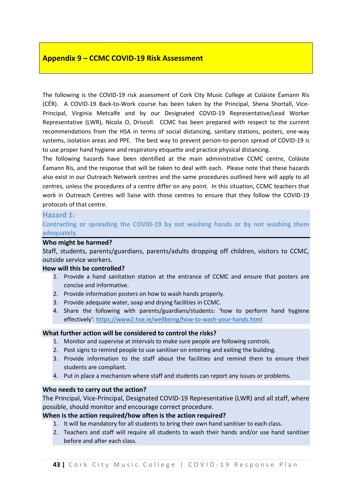#### **Appendix 9 – CCMC COVID-19 Risk Assessment**

The following is the COVID-19 risk assessment of Cork City Music College at Coláiste Éamann Rís (CÉR). A COVID-19 Back-to-Work course has been taken by the Principal, Shena Shortall, Vice-Principal, Virginia Metcalfe and by our Designated COVID-19 Representative/Lead Worker Representative (LWR), Nicola O, Driscoll. CCMC has been prepared with respect to the current recommendations from the HSA in terms of social distancing, sanitary stations, posters, one-way systems, isolation areas and PPE. The best way to prevent person-to-person spread of COVID-19 is to use proper hand hygiene and respiratory etiquette and practice physical distancing.

The following hazards have been identified at the main administrative CCMC centre, Coláiste Éamann Rís, and the response that will be taken to deal with each. Please note that these hazards also exist in our Outreach Network centres and the same procedures outlined here will apply to all centres, unless the procedures of a centre differ on any point. In this situation, CCMC teachers that work in Outreach Centres will liaise with those centres to ensure that they follow the COVID-19 protocols of that centre.

#### **Hazard 1:**

**Contracting or spreading the COVID-19 by not washing hands or by not washing them adequately.** 

#### **Who might be harmed?**

Staff, students, parents/guardians, parents/adults dropping off children, visitors to CCMC, outside service workers.

#### **How will this be controlled?**

- 1. Provide a hand sanitation station at the entrance of CCMC and ensure that posters are concise and informative.
- 2. Provide information posters on how to wash hands properly.
- 3. Provide adequate water, soap and drying facilities in CCMC.
- 4. Share the following with parents/guardians/students: 'how to perform hand hygiene effectively': <https://www2.hse.ie/wellbeing/how-to-wash-your-hands.html>

#### **What further action will be considered to control the risks?**

- 1. Monitor and supervise at intervals to make sure people are following controls.
- 2. Post signs to remind people to use sanitiser on entering and exiting the building.
- 3. Provide information to the staff about the facilities and remind them to ensure their students are compliant.
- 4. Put in place a mechanism where staff and students can report any issues or problems.

#### **Who needs to carry out the action?**

The Principal, Vice-Principal, Designated COVID-19 Representative (LWR) and all staff, where possible, should monitor and encourage correct procedure.

#### **When is the action required/how often is the action required?**

- 1. It will be mandatory for all students to bring their own hand sanitiser to each class.
- 2. Teachers and staff will require all students to wash their hands and/or use hand sanitiser before and after each class.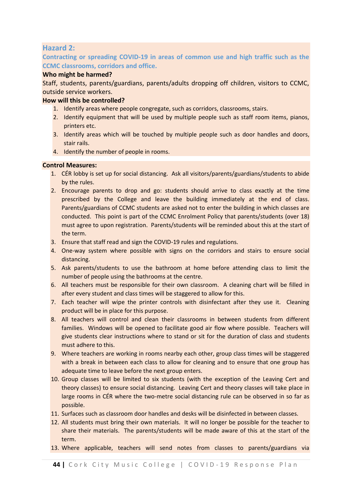#### **Hazard 2:**

#### **Contracting or spreading COVID-19 in areas of common use and high traffic such as the CCMC classrooms, corridors and office.**

#### **Who might be harmed?**

Staff, students, parents/guardians, parents/adults dropping off children, visitors to CCMC, outside service workers.

#### **How will this be controlled?**

- 1. Identify areas where people congregate, such as corridors, classrooms, stairs.
- 2. Identify equipment that will be used by multiple people such as staff room items, pianos, printers etc.
- 3. Identify areas which will be touched by multiple people such as door handles and doors, stair rails.
- 4. Identify the number of people in rooms.

#### **Control Measures:**

- 1. CÉR lobby is set up for social distancing. Ask all visitors/parents/guardians/students to abide by the rules.
- 2. Encourage parents to drop and go: students should arrive to class exactly at the time prescribed by the College and leave the building immediately at the end of class. Parents/guardians of CCMC students are asked not to enter the building in which classes are conducted. This point is part of the CCMC Enrolment Policy that parents/students (over 18) must agree to upon registration. Parents/students will be reminded about this at the start of the term.
- 3. Ensure that staff read and sign the COVID-19 rules and regulations.
- 4. One-way system where possible with signs on the corridors and stairs to ensure social distancing.
- 5. Ask parents/students to use the bathroom at home before attending class to limit the number of people using the bathrooms at the centre.
- 6. All teachers must be responsible for their own classroom. A cleaning chart will be filled in after every student and class times will be staggered to allow for this.
- 7. Each teacher will wipe the printer controls with disinfectant after they use it. Cleaning product will be in place for this purpose.
- 8. All teachers will control and clean their classrooms in between students from different families. Windows will be opened to facilitate good air flow where possible. Teachers will give students clear instructions where to stand or sit for the duration of class and students must adhere to this.
- 9. Where teachers are working in rooms nearby each other, group class times will be staggered with a break in between each class to allow for cleaning and to ensure that one group has adequate time to leave before the next group enters.
- 10. Group classes will be limited to six students (with the exception of the Leaving Cert and theory classes) to ensure social distancing. Leaving Cert and theory classes will take place in large rooms in CÉR where the two-metre social distancing rule can be observed in so far as possible.
- 11. Surfaces such as classroom door handles and desks will be disinfected in between classes.
- 12. All students must bring their own materials. It will no longer be possible for the teacher to share their materials. The parents/students will be made aware of this at the start of the term.
- 13. Where applicable, teachers will send notes from classes to parents/guardians via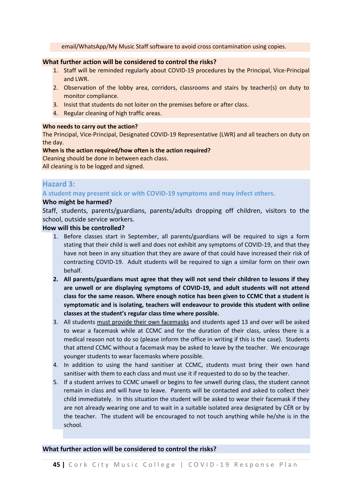email/WhatsApp/My Music Staff software to avoid cross contamination using copies.

#### **What further action will be considered to control the risks?**

- 1. Staff will be reminded regularly about COVID-19 procedures by the Principal, Vice-Principal and LWR.
- 2. Observation of the lobby area, corridors, classrooms and stairs by teacher(s) on duty to monitor compliance.
- 3. Insist that students do not loiter on the premises before or after class.
- 4. Regular cleaning of high traffic areas.

#### **Who needs to carry out the action?**

The Principal, Vice-Principal, Designated COVID-19 Representative (LWR) and all teachers on duty on the day.

#### **When is the action required/how often is the action required?**

Cleaning should be done in between each class.

All cleaning is to be logged and signed.

#### **Hazard 3:**

#### **A student may present sick or with COVID-19 symptoms and may infect others.**

#### **Who might be harmed?**

Staff, students, parents/guardians, parents/adults dropping off children, visitors to the school, outside service workers.

#### **How will this be controlled?**

- 1. Before classes start in September, all parents/guardians will be required to sign a form stating that their child is well and does not exhibit any symptoms of COVID-19, and that they have not been in any situation that they are aware of that could have increased their risk of contracting COVID-19. Adult students will be required to sign a similar form on their own behalf.
- **2. All parents/guardians must agree that they will not send their children to lessons if they are unwell or are displaying symptoms of COVID-19, and adult students will not attend class for the same reason. Where enough notice has been given to CCMC that a student is symptomatic and is isolating, teachers will endeavour to provide this student with online classes at the student's regular class time where possible.**
- 3. All students must provide their own facemasks and students aged 13 and over will be asked to wear a facemask while at CCMC and for the duration of their class, unless there is a medical reason not to do so (please inform the office in writing if this is the case). Students that attend CCMC without a facemask may be asked to leave by the teacher. We encourage younger students to wear facemasks where possible.
- 4. In addition to using the hand sanitiser at CCMC, students must bring their own hand sanitiser with them to each class and must use it if requested to do so by the teacher.
- 5. If a student arrives to CCMC unwell or begins to fee unwell during class, the student cannot remain in class and will have to leave. Parents will be contacted and asked to collect their child immediately. In this situation the student will be asked to wear their facemask if they are not already wearing one and to wait in a suitable isolated area designated by CÉR or by the teacher. The student will be encouraged to not touch anything while he/she is in the school.

#### **What further action will be considered to control the risks?**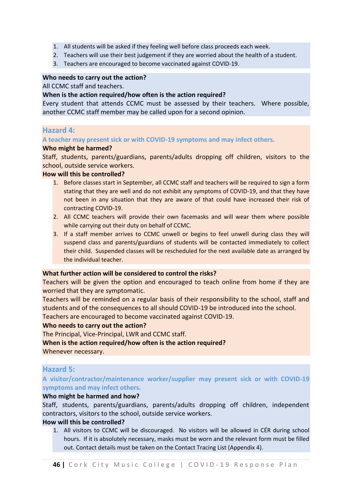- 1. All students will be asked if they feeling well before class proceeds each week.
- 2. Teachers will use their best judgement if they are worried about the health of a student.
- 3. Teachers are encouraged to become vaccinated against COVID-19.

#### **Who needs to carry out the action?**

All CCMC staff and teachers.

#### **When is the action required/how often is the action required?**

Every student that attends CCMC must be assessed by their teachers. Where possible, another CCMC staff member may be called upon for a second opinion.

#### **Hazard 4:**

#### **A teacher may present sick or with COVID-19 symptoms and may infect others.**

#### **Who might be harmed?**

Staff, students, parents/guardians, parents/adults dropping off children, visitors to the school, outside service workers.

#### **How will this be controlled?**

- 1. Before classes start in September, all CCMC staff and teachers will be required to sign a form stating that they are well and do not exhibit any symptoms of COVID-19, and that they have not been in any situation that they are aware of that could have increased their risk of contracting COVID-19.
- 2. All CCMC teachers will provide their own facemasks and will wear them where possible while carrying out their duty on behalf of CCMC.
- 3. If a staff member arrives to CCMC unwell or begins to feel unwell during class they will suspend class and parents/guardians of students will be contacted immediately to collect their child. Suspended classes will be rescheduled for the next available date as arranged by the individual teacher.

#### **What further action will be considered to control the risks?**

Teachers will be given the option and encouraged to teach online from home if they are worried that they are symptomatic.

Teachers will be reminded on a regular basis of their responsibility to the school, staff and students and of the consequences to all should COVID-19 be introduced into the school. Teachers are encouraged to become vaccinated against COVID-19.

#### **Who needs to carry out the action?**

The Principal, Vice-Principal, LWR and CCMC staff.

#### **When is the action required/how often is the action required?**

Whenever necessary.

#### **Hazard 5:**

**A visitor/contractor/maintenance worker/supplier may present sick or with COVID-19 symptoms and may infect others.**

#### **Who might be harmed and how?**

Staff, students, parents/guardians, parents/adults dropping off children, independent contractors, visitors to the school, outside service workers.

#### **How will this be controlled?**

1. All visitors to CCMC will be discouraged. No visitors will be allowed in CÉR during school hours. If it is absolutely necessary, masks must be worn and the relevant form must be filled out. Contact details must be taken on the Contact Tracing List (Appendix 4).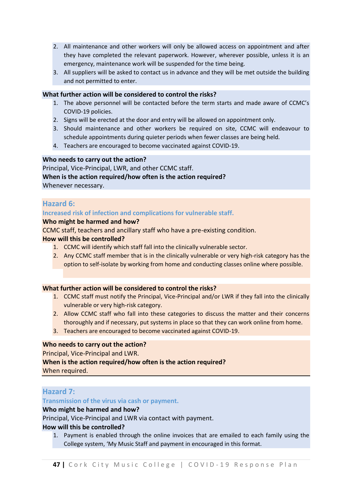- 2. All maintenance and other workers will only be allowed access on appointment and after they have completed the relevant paperwork. However, wherever possible, unless it is an emergency, maintenance work will be suspended for the time being.
- 3. All suppliers will be asked to contact us in advance and they will be met outside the building and not permitted to enter.

#### **What further action will be considered to control the risks?**

- 1. The above personnel will be contacted before the term starts and made aware of CCMC's COVID-19 policies.
- 2. Signs will be erected at the door and entry will be allowed on appointment only.
- 3. Should maintenance and other workers be required on site, CCMC will endeavour to schedule appointments during quieter periods when fewer classes are being held.
- 4. Teachers are encouraged to become vaccinated against COVID-19.

#### **Who needs to carry out the action?**

Principal, Vice-Principal, LWR, and other CCMC staff. **When is the action required/how often is the action required?** Whenever necessary.

#### **Hazard 6:**

#### **Increased risk of infection and complications for vulnerable staff.**

#### **Who might be harmed and how?**

CCMC staff, teachers and ancillary staff who have a pre-existing condition.

#### **How will this be controlled?**

- 1. CCMC will identify which staff fall into the clinically vulnerable sector.
- 2. Any CCMC staff member that is in the clinically vulnerable or very high-risk category has the option to self-isolate by working from home and conducting classes online where possible.

#### **What further action will be considered to control the risks?**

- 1. CCMC staff must notify the Principal, Vice-Principal and/or LWR if they fall into the clinically vulnerable or very high-risk category.
- 2. Allow CCMC staff who fall into these categories to discuss the matter and their concerns thoroughly and if necessary, put systems in place so that they can work online from home.
- 3. Teachers are encouraged to become vaccinated against COVID-19.

#### **Who needs to carry out the action?**

Principal, Vice-Principal and LWR.

#### **When is the action required/how often is the action required?**

When required.

#### **Hazard 7:**

#### **Transmission of the virus via cash or payment.**

#### **Who might be harmed and how?**

Principal, Vice-Principal and LWR via contact with payment.

#### **How will this be controlled?**

1. Payment is enabled through the online invoices that are emailed to each family using the College system, 'My Music Staff and payment in encouraged in this format.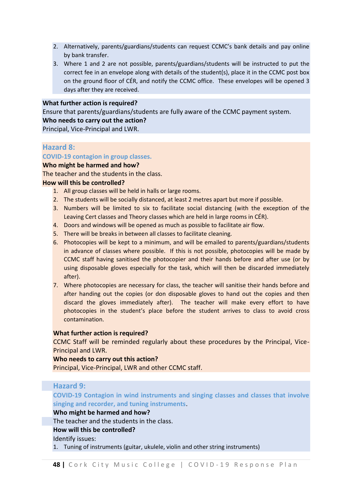- 2. Alternatively, parents/guardians/students can request CCMC's bank details and pay online by bank transfer.
- 3. Where 1 and 2 are not possible, parents/guardians/students will be instructed to put the correct fee in an envelope along with details of the student(s), place it in the CCMC post box on the ground floor of CÉR, and notify the CCMC office. These envelopes will be opened 3 days after they are received.

#### **What further action is required?**

Ensure that parents/guardians/students are fully aware of the CCMC payment system. **Who needs to carry out the action?**

Principal, Vice-Principal and LWR.

#### **Hazard 8:**

#### **COVID-19 contagion in group classes.**

#### **Who might be harmed and how?**

The teacher and the students in the class.

#### **How will this be controlled?**

- 1. All group classes will be held in halls or large rooms.
- 2. The students will be socially distanced, at least 2 metres apart but more if possible.
- 3. Numbers will be limited to six to facilitate social distancing (with the exception of the Leaving Cert classes and Theory classes which are held in large rooms in CÉR).
- 4. Doors and windows will be opened as much as possible to facilitate air flow.
- 5. There will be breaks in between all classes to facilitate cleaning.
- 6. Photocopies will be kept to a minimum, and will be emailed to parents/guardians/students in advance of classes where possible. If this is not possible, photocopies will be made by CCMC staff having sanitised the photocopier and their hands before and after use (or by using disposable gloves especially for the task, which will then be discarded immediately after).
- 7. Where photocopies are necessary for class, the teacher will sanitise their hands before and after handing out the copies (or don disposable gloves to hand out the copies and then discard the gloves immediately after). The teacher will make every effort to have photocopies in the student's place before the student arrives to class to avoid cross contamination.

#### **What further action is required?**

CCMC Staff will be reminded regularly about these procedures by the Principal, Vice-Principal and LWR.

#### **Who needs to carry out this action?**

Principal, Vice-Principal, LWR and other CCMC staff.

#### **Hazard 9:**

**COVID-19 Contagion in wind instruments and singing classes and classes that involve singing and recorder, and tuning instruments**.

#### **Who might be harmed and how?**

The teacher and the students in the class.

#### **How will this be controlled?**

Identify issues:

1. Tuning of instruments (guitar, ukulele, violin and other string instruments)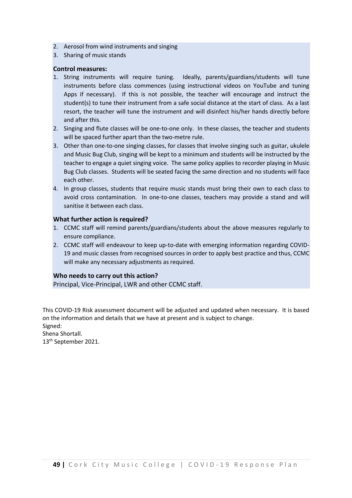- 2. Aerosol from wind instruments and singing
- 3. Sharing of music stands

#### **Control measures:**

- 1. String instruments will require tuning. Ideally, parents/guardians/students will tune instruments before class commences (using instructional videos on YouTube and tuning Apps if necessary). If this is not possible, the teacher will encourage and instruct the student(s) to tune their instrument from a safe social distance at the start of class. As a last resort, the teacher will tune the instrument and will disinfect his/her hands directly before and after this.
- 2. Singing and flute classes will be one-to-one only. In these classes, the teacher and students will be spaced further apart than the two-metre rule.
- 3. Other than one-to-one singing classes, for classes that involve singing such as guitar, ukulele and Music Bug Club, singing will be kept to a minimum and students will be instructed by the teacher to engage a quiet singing voice. The same policy applies to recorder playing in Music Bug Club classes. Students will be seated facing the same direction and no students will face each other.
- 4. In group classes, students that require music stands must bring their own to each class to avoid cross contamination. In one-to-one classes, teachers may provide a stand and will sanitise it between each class.

#### **What further action is required?**

- 1. CCMC staff will remind parents/guardians/students about the above measures regularly to ensure compliance.
- 2. CCMC staff will endeavour to keep up-to-date with emerging information regarding COVID-19 and music classes from recognised sources in order to apply best practice and thus, CCMC will make any necessary adjustments as required.

#### **Who needs to carry out this action?**

Principal, Vice-Principal, LWR and other CCMC staff.

This COVID-19 Risk assessment document will be adjusted and updated when necessary. It is based on the information and details that we have at present and is subject to change. Signed:

Shena Shortall. 13<sup>th</sup> September 2021.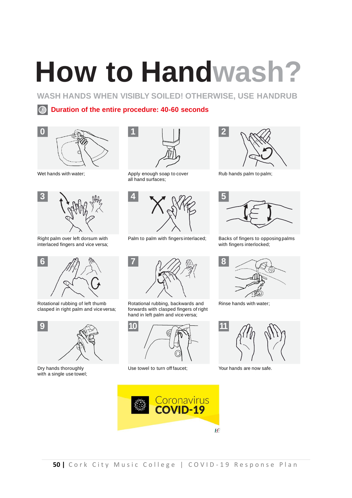## **How to Handwash?**

**WASH HANDS WHEN VISIBLY SOILED! OTHERWISE, USE HANDRUB**

#### **Duration of the entire procedure: 40-60 seconds**



Wet hands with water;



Right palm over left dorsum with interlaced fingers and vice versa;



Rotational rubbing of left thumb clasped in right palm and vice versa;



with a single use towel:



Apply enough soap to cover Rub hands palm to palm; all hand surfaces;



Palm to palm with fingers interlaced; Backs of fingers to opposing palms



Rotational rubbing, backwards and forwards with clasped fingers of right hand in left palm and vice versa;



Dry hands thoroughly **Solution Construction** Use towel to turn off faucet; Now hands are now safe.





with fingers interlocked;



Rinse hands with water;